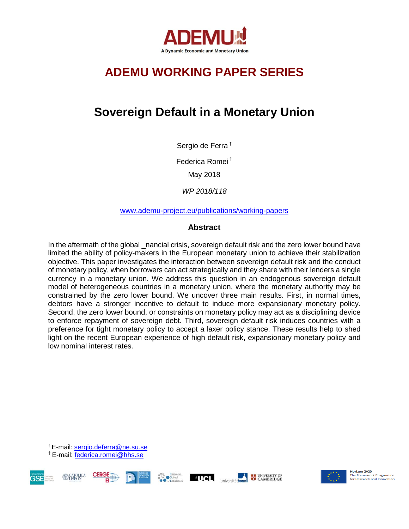

# **ADEMU WORKING PAPER SERIES**

# **Sovereign Default in a Monetary Union**

Sergio de Ferra †

Federica Romei <sup>Ť</sup>

May 2018

*WP 2018/118* 

[www.ademu-project.eu/publications/working-papers](http://www.ademu-project.eu/publications/working-papers)

### **Abstract**

In the aftermath of the global \_nancial crisis, sovereign default risk and the zero lower bound have limited the ability of policy-makers in the European monetary union to achieve their stabilization objective. This paper investigates the interaction between sovereign default risk and the conduct of monetary policy, when borrowers can act strategically and they share with their lenders a single currency in a monetary union. We address this question in an endogenous sovereign default model of heterogeneous countries in a monetary union, where the monetary authority may be constrained by the zero lower bound. We uncover three main results. First, in normal times, debtors have a stronger incentive to default to induce more expansionary monetary policy. Second, the zero lower bound, or constraints on monetary policy may act as a disciplining device to enforce repayment of sovereign debt. Third, sovereign default risk induces countries with a preference for tight monetary policy to accept a laxer policy stance. These results help to shed light on the recent European experience of high default risk, expansionary monetary policy and low nominal interest rates.

† E-mail: [sergio.deferra@ne.su.se](mailto:sergio.deferra@ne.su.se) <sup>Ť</sup> E-mail: [federica.romei@hhs.se](mailto:federica.romei@hhs.se)

**GSE** 







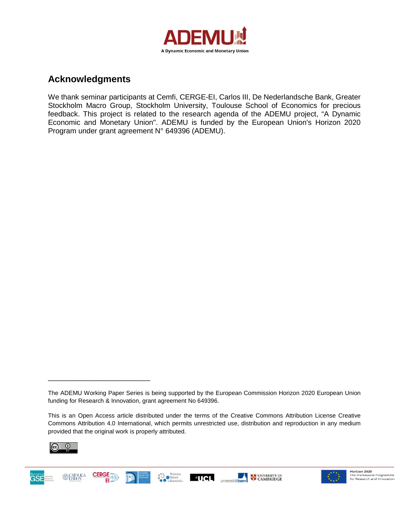

# **Acknowledgments**

We thank seminar participants at Cemfi, CERGE-EI, Carlos III, De Nederlandsche Bank, Greater Stockholm Macro Group, Stockholm University, Toulouse School of Economics for precious feedback. This project is related to the research agenda of the ADEMU project, "A Dynamic Economic and Monetary Union". ADEMU is funded by the European Union's Horizon 2020 Program under grant agreement N° 649396 (ADEMU).

This is an Open Access article distributed under the terms of the Creative Commons Attribution License Creative Commons Attribution 4.0 International, which permits unrestricted use, distribution and reproduction in any medium provided that the original work is properly attributed.



\_\_\_\_\_\_\_\_\_\_\_\_\_\_\_\_\_\_\_\_\_\_\_\_\_





The ADEMU Working Paper Series is being supported by the European Commission Horizon 2020 European Union funding for Research & Innovation, grant agreement No 649396.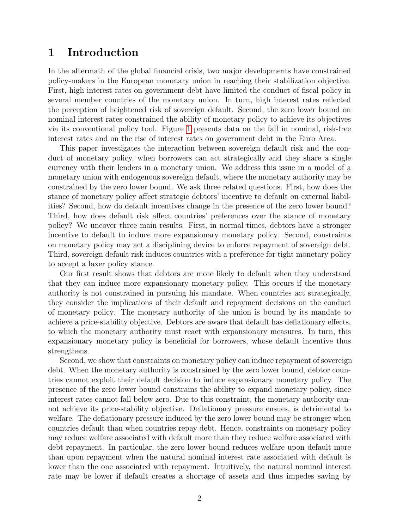# 1 Introduction

In the aftermath of the global financial crisis, two major developments have constrained policy-makers in the European monetary union in reaching their stabilization objective. First, high interest rates on government debt have limited the conduct of fiscal policy in several member countries of the monetary union. In turn, high interest rates reflected the perception of heightened risk of sovereign default. Second, the zero lower bound on nominal interest rates constrained the ability of monetary policy to achieve its objectives via its conventional policy tool. Figure [1](#page-3-0) presents data on the fall in nominal, risk-free interest rates and on the rise of interest rates on government debt in the Euro Area.

This paper investigates the interaction between sovereign default risk and the conduct of monetary policy, when borrowers can act strategically and they share a single currency with their lenders in a monetary union. We address this issue in a model of a monetary union with endogenous sovereign default, where the monetary authority may be constrained by the zero lower bound. We ask three related questions. First, how does the stance of monetary policy affect strategic debtors' incentive to default on external liabilities? Second, how do default incentives change in the presence of the zero lower bound? Third, how does default risk affect countries' preferences over the stance of monetary policy? We uncover three main results. First, in normal times, debtors have a stronger incentive to default to induce more expansionary monetary policy. Second, constraints on monetary policy may act a disciplining device to enforce repayment of sovereign debt. Third, sovereign default risk induces countries with a preference for tight monetary policy to accept a laxer policy stance.

Our first result shows that debtors are more likely to default when they understand that they can induce more expansionary monetary policy. This occurs if the monetary authority is not constrained in pursuing his mandate. When countries act strategically, they consider the implications of their default and repayment decisions on the conduct of monetary policy. The monetary authority of the union is bound by its mandate to achieve a price-stability objective. Debtors are aware that default has deflationary effects, to which the monetary authority must react with expansionary measures. In turn, this expansionary monetary policy is beneficial for borrowers, whose default incentive thus strengthens.

Second, we show that constraints on monetary policy can induce repayment of sovereign debt. When the monetary authority is constrained by the zero lower bound, debtor countries cannot exploit their default decision to induce expansionary monetary policy. The presence of the zero lower bound constrains the ability to expand monetary policy, since interest rates cannot fall below zero. Due to this constraint, the monetary authority cannot achieve its price-stability objective. Deflationary pressure ensues, is detrimental to welfare. The deflationary pressure induced by the zero lower bound may be stronger when countries default than when countries repay debt. Hence, constraints on monetary policy may reduce welfare associated with default more than they reduce welfare associated with debt repayment. In particular, the zero lower bound reduces welfare upon default more than upon repayment when the natural nominal interest rate associated with default is lower than the one associated with repayment. Intuitively, the natural nominal interest rate may be lower if default creates a shortage of assets and thus impedes saving by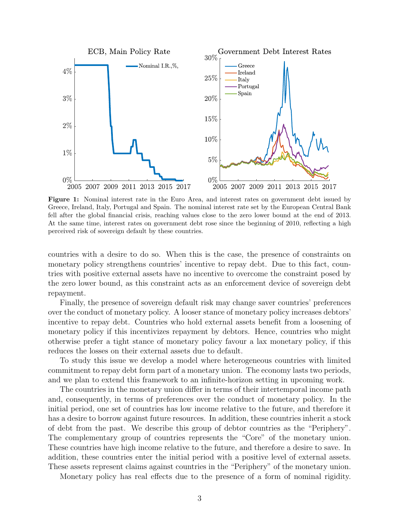<span id="page-3-0"></span>

Figure 1: Nominal interest rate in the Euro Area, and interest rates on government debt issued by Greece, Ireland, Italy, Portugal and Spain. The nominal interest rate set by the European Central Bank fell after the global financial crisis, reaching values close to the zero lower bound at the end of 2013. At the same time, interest rates on government debt rose since the beginning of 2010, reflecting a high perceived risk of sovereign default by these countries.

countries with a desire to do so. When this is the case, the presence of constraints on monetary policy strengthens countries' incentive to repay debt. Due to this fact, countries with positive external assets have no incentive to overcome the constraint posed by the zero lower bound, as this constraint acts as an enforcement device of sovereign debt repayment.

Finally, the presence of sovereign default risk may change saver countries' preferences over the conduct of monetary policy. A looser stance of monetary policy increases debtors' incentive to repay debt. Countries who hold external assets benefit from a loosening of monetary policy if this incentivizes repayment by debtors. Hence, countries who might otherwise prefer a tight stance of monetary policy favour a lax monetary policy, if this reduces the losses on their external assets due to default.

To study this issue we develop a model where heterogeneous countries with limited commitment to repay debt form part of a monetary union. The economy lasts two periods, and we plan to extend this framework to an infinite-horizon setting in upcoming work.

The countries in the monetary union differ in terms of their intertemporal income path and, consequently, in terms of preferences over the conduct of monetary policy. In the initial period, one set of countries has low income relative to the future, and therefore it has a desire to borrow against future resources. In addition, these countries inherit a stock of debt from the past. We describe this group of debtor countries as the "Periphery". The complementary group of countries represents the "Core" of the monetary union. These countries have high income relative to the future, and therefore a desire to save. In addition, these countries enter the initial period with a positive level of external assets. These assets represent claims against countries in the "Periphery" of the monetary union.

Monetary policy has real effects due to the presence of a form of nominal rigidity.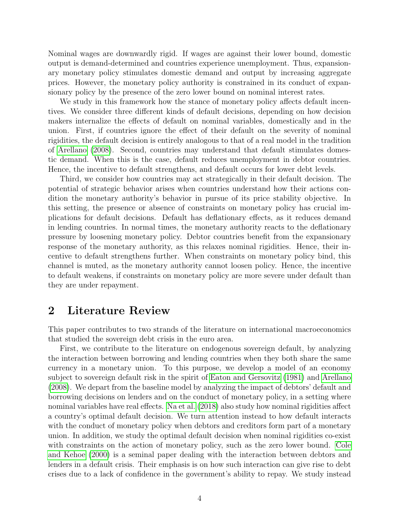Nominal wages are downwardly rigid. If wages are against their lower bound, domestic output is demand-determined and countries experience unemployment. Thus, expansionary monetary policy stimulates domestic demand and output by increasing aggregate prices. However, the monetary policy authority is constrained in its conduct of expansionary policy by the presence of the zero lower bound on nominal interest rates.

We study in this framework how the stance of monetary policy affects default incentives. We consider three different kinds of default decisions, depending on how decision makers internalize the effects of default on nominal variables, domestically and in the union. First, if countries ignore the effect of their default on the severity of nominal rigidities, the default decision is entirely analogous to that of a real model in the tradition of [Arellano](#page-37-0) [\(2008\)](#page-37-0). Second, countries may understand that default stimulates domestic demand. When this is the case, default reduces unemployment in debtor countries. Hence, the incentive to default strengthens, and default occurs for lower debt levels.

Third, we consider how countries may act strategically in their default decision. The potential of strategic behavior arises when countries understand how their actions condition the monetary authority's behavior in pursue of its price stability objective. In this setting, the presence or absence of constraints on monetary policy has crucial implications for default decisions. Default has deflationary effects, as it reduces demand in lending countries. In normal times, the monetary authority reacts to the deflationary pressure by loosening monetary policy. Debtor countries benefit from the expansionary response of the monetary authority, as this relaxes nominal rigidities. Hence, their incentive to default strengthens further. When constraints on monetary policy bind, this channel is muted, as the monetary authority cannot loosen policy. Hence, the incentive to default weakens, if constraints on monetary policy are more severe under default than they are under repayment.

# 2 Literature Review

This paper contributes to two strands of the literature on international macroeconomics that studied the sovereign debt crisis in the euro area.

First, we contribute to the literature on endogenous sovereign default, by analyzing the interaction between borrowing and lending countries when they both share the same currency in a monetary union. To this purpose, we develop a model of an economy subject to sovereign default risk in the spirit of [Eaton and Gersovitz](#page-37-1) [\(1981\)](#page-37-1) and [Arellano](#page-37-0) [\(2008\)](#page-37-0). We depart from the baseline model by analyzing the impact of debtors' default and borrowing decisions on lenders and on the conduct of monetary policy, in a setting where nominal variables have real effects. [Na et al.](#page-38-0) [\(2018\)](#page-38-0) also study how nominal rigidities affect a country's optimal default decision. We turn attention instead to how default interacts with the conduct of monetary policy when debtors and creditors form part of a monetary union. In addition, we study the optimal default decision when nominal rigidities co-exist with constraints on the action of monetary policy, such as the zero lower bound. [Cole](#page-37-2) [and Kehoe](#page-37-2) [\(2000\)](#page-37-2) is a seminal paper dealing with the interaction between debtors and lenders in a default crisis. Their emphasis is on how such interaction can give rise to debt crises due to a lack of confidence in the government's ability to repay. We study instead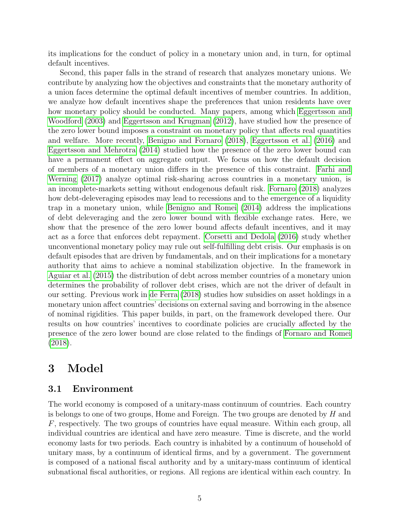its implications for the conduct of policy in a monetary union and, in turn, for optimal default incentives.

Second, this paper falls in the strand of research that analyzes monetary unions. We contribute by analyzing how the objectives and constraints that the monetary authority of a union faces determine the optimal default incentives of member countries. In addition, we analyze how default incentives shape the preferences that union residents have over how monetary policy should be conducted. Many papers, among which [Eggertsson and](#page-37-3) [Woodford](#page-37-3) [\(2003\)](#page-37-3) and [Eggertsson and Krugman](#page-37-4) [\(2012\)](#page-37-4), have studied how the presence of the zero lower bound imposes a constraint on monetary policy that affects real quantities and welfare. More recently, [Benigno and Fornaro](#page-37-5) [\(2018\)](#page-37-5), [Eggertsson et al.](#page-37-6) [\(2016\)](#page-37-6) and [Eggertsson and Mehrotra](#page-37-7) [\(2014\)](#page-37-7) studied how the presence of the zero lower bound can have a permanent effect on aggregate output. We focus on how the default decision of members of a monetary union differs in the presence of this constraint. [Farhi and](#page-37-8) [Werning](#page-37-8) [\(2017\)](#page-37-8) analyze optimal risk-sharing across countries in a monetary union, is an incomplete-markets setting without endogenous default risk. [Fornaro](#page-38-1) [\(2018\)](#page-38-1) analyzes how debt-deleveraging episodes may lead to recessions and to the emergence of a liquidity trap in a monetary union, while [Benigno and Romei](#page-37-9) [\(2014\)](#page-37-9) address the implications of debt deleveraging and the zero lower bound with flexible exchange rates. Here, we show that the presence of the zero lower bound affects default incentives, and it may act as a force that enforces debt repayment. [Corsetti and Dedola](#page-37-10) [\(2016\)](#page-37-10) study whether unconventional monetary policy may rule out self-fulfilling debt crisis. Our emphasis is on default episodes that are driven by fundamentals, and on their implications for a monetary authority that aims to achieve a nominal stabilization objective. In the framework in [Aguiar et al.](#page-37-11) [\(2015\)](#page-37-11) the distribution of debt across member countries of a monetary union determines the probability of rollover debt crises, which are not the driver of default in our setting. Previous work in [de Ferra](#page-37-12) [\(2018\)](#page-37-12) studies how subsidies on asset holdings in a monetary union affect countries' decisions on external saving and borrowing in the absence of nominal rigidities. This paper builds, in part, on the framework developed there. Our results on how countries' incentives to coordinate policies are crucially affected by the presence of the zero lower bound are close related to the findings of [Fornaro and Romei](#page-38-2) [\(2018\)](#page-38-2).

# 3 Model

### 3.1 Environment

The world economy is composed of a unitary-mass continuum of countries. Each country is belongs to one of two groups, Home and Foreign. The two groups are denoted by  $H$  and F, respectively. The two groups of countries have equal measure. Within each group, all individual countries are identical and have zero measure. Time is discrete, and the world economy lasts for two periods. Each country is inhabited by a continuum of household of unitary mass, by a continuum of identical firms, and by a government. The government is composed of a national fiscal authority and by a unitary-mass continuum of identical subnational fiscal authorities, or regions. All regions are identical within each country. In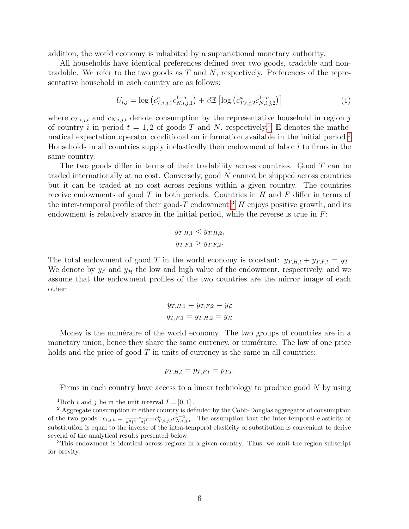addition, the world economy is inhabited by a supranational monetary authority.

All households have identical preferences defined over two goods, tradable and nontradable. We refer to the two goods as  $T$  and  $N$ , respectively. Preferences of the representative household in each country are as follows:

$$
U_{i,j} = \log \left( c_{T,i,j,1}^{a} c_{N,i,j,1}^{1-a} \right) + \beta \mathbb{E} \left[ \log \left( c_{T,i,j,2}^{a} c_{N,i,j,2}^{1-a} \right) \right] \tag{1}
$$

where  $c_{T,i,j,t}$  and  $c_{N,i,j,t}$  denote consumption by the representative household in region j of country i in period  $t = 1, 2$  $t = 1, 2$  $t = 1, 2$  of goods T and N, respectively.<sup>1</sup> E denotes the mathematical expectation operator conditional on information available in the initial period.[2](#page-6-1) Households in all countries supply inelastically their endowment of labor  $l$  to firms in the same country.

The two goods differ in terms of their tradability across countries. Good T can be traded internationally at no cost. Conversely, good N cannot be shipped across countries but it can be traded at no cost across regions within a given country. The countries receive endowments of good  $T$  in both periods. Countries in  $H$  and  $F$  differ in terms of the inter-temporal profile of their good-T endowment.<sup>[3](#page-6-2)</sup> H enjoys positive growth, and its endowment is relatively scarce in the initial period, while the reverse is true in  $F$ :

$$
y_{T,H,1} < y_{T,H,2},
$$
  
 $y_{T,F,1} > y_{T,F,2}.$ 

The total endowment of good T in the world economy is constant:  $y_{T,H,t} + y_{T,F,t} = y_T$ . We denote by  $y_{\mathcal{L}}$  and  $y_{\mathcal{H}}$  the low and high value of the endowment, respectively, and we assume that the endowment profiles of the two countries are the mirror image of each other:

$$
y_{T,H,1} = y_{T,F,2} = y_{\mathcal{L}}
$$

$$
y_{T,F,1} = y_{T,H,2} = y_{\mathcal{H}}
$$

Money is the numéraire of the world economy. The two groups of countries are in a monetary union, hence they share the same currency, or numéraire. The law of one price holds and the price of good  $T$  in units of currency is the same in all countries:

$$
p_{T,H,t} = p_{T,F,t} = p_{T,t}.
$$

Firms in each country have access to a linear technology to produce good N by using

<span id="page-6-1"></span><span id="page-6-0"></span><sup>&</sup>lt;sup>1</sup>Both *i* and *j* lie in the unit interval  $I = [0, 1]$ .

<sup>2</sup> Aggregate consumption in either country is definded by the Cobb-Douglas aggregator of consumption of the two goods:  $c_{i,j,t} = \frac{1}{a^a(1-a)^{1-a}} c_{T,i,j,t}^a c_{N,i,j,t}^{1-a}$ . The assumption that the inter-temporal elasticity of substitution is equal to the inverse of the intra-temporal elasticity of substitution is convenient to derive several of the analytical results presented below.

<span id="page-6-2"></span><sup>3</sup>This endowment is identical across regions in a given country. Thus, we omit the region subscript for brevity.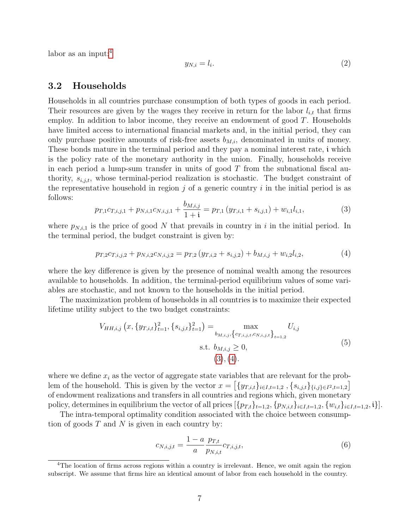labor as an input: $4$ 

<span id="page-7-4"></span>
$$
y_{N,i} = l_i. \tag{2}
$$

### 3.2 Households

Households in all countries purchase consumption of both types of goods in each period. Their resources are given by the wages they receive in return for the labor  $l_{i,t}$  that firms employ. In addition to labor income, they receive an endowment of good  $T$ . Households have limited access to international financial markets and, in the initial period, they can only purchase positive amounts of risk-free assets  $b_{M,i}$ , denominated in units of money. These bonds mature in the terminal period and they pay a nominal interest rate, i which is the policy rate of the monetary authority in the union. Finally, households receive in each period a lump-sum transfer in units of good  $T$  from the subnational fiscal authority,  $s_{i,j,t}$ , whose terminal-period realization is stochastic. The budget constraint of the representative household in region  $j$  of a generic country i in the initial period is as follows:

<span id="page-7-1"></span>
$$
p_{T,1}c_{T,i,j,1} + p_{N,i,1}c_{N,i,j,1} + \frac{b_{M,i,j}}{1+i} = p_{T,1}\left(y_{T,i,1} + s_{i,j,1}\right) + w_{i,1}l_{i,1},\tag{3}
$$

where  $p_{N,i,1}$  is the price of good N that prevails in country in i in the initial period. In the terminal period, the budget constraint is given by:

<span id="page-7-2"></span>
$$
p_{T,2}c_{T,i,j,2} + p_{N,i,2}c_{N,i,j,2} = p_{T,2}\left(y_{T,i,2} + s_{i,j,2}\right) + b_{M,i,j} + w_{i,2}l_{i,2},\tag{4}
$$

where the key difference is given by the presence of nominal wealth among the resources available to households. In addition, the terminal-period equilibrium values of some variables are stochastic, and not known to the households in the initial period.

The maximization problem of households in all countries is to maximize their expected lifetime utility subject to the two budget constraints:

$$
V_{HH,i,j}(x, \{y_{T,i,t}\}_{t=1}^2, \{s_{i,j,t}\}_{t=1}^2) = \max_{b_{M,i,j}, \{c_{T,i,j,t}, c_{N,i,j,t}\}_{t=1,2}} U_{i,j}
$$
  
s.t.  $b_{M,i,j} \ge 0$ ,  
(3), (4). (5)

where we define  $x_i$  as the vector of aggregate state variables that are relevant for the problem of the household. This is given by the vector  $x = \left[\{y_{T,i,t}\}_{i \in I, t=1,2}, \{s_{i,j,t}\}_{i,j\in I^2, t=1,2}\right]$ of endowment realizations and transfers in all countries and regions which, given monetary policy, determines in equilibrium the vector of all prices  $[\{p_{T,t}\}_{t=1,2}, \{p_{N,i,t}\}_{i\in I,t=1,2}, \{w_{i,t}\}_{i\in I,t=1,2}, i\}].$ 

The intra-temporal optimality condition associated with the choice between consumption of goods  $T$  and  $N$  is given in each country by:

<span id="page-7-5"></span><span id="page-7-3"></span>
$$
c_{N,i,j,t} = \frac{1 - a}{a} \frac{p_{T,t}}{p_{N,i,t}} c_{T,i,j,t},
$$
\n(6)

<span id="page-7-0"></span><sup>&</sup>lt;sup>4</sup>The location of firms across regions within a country is irrelevant. Hence, we omit again the region subscript. We assume that firms hire an identical amount of labor from each household in the country.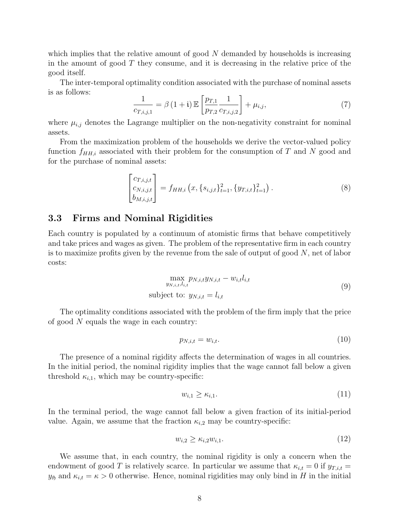which implies that the relative amount of good  $N$  demanded by households is increasing in the amount of good  $T$  they consume, and it is decreasing in the relative price of the good itself.

The inter-temporal optimality condition associated with the purchase of nominal assets is as follows:

<span id="page-8-1"></span>
$$
\frac{1}{c_{T,i,j,1}} = \beta (1 + \mathbf{i}) \mathbb{E} \left[ \frac{p_{T,1}}{p_{T,2}} \frac{1}{c_{T,i,j,2}} \right] + \mu_{i,j},\tag{7}
$$

where  $\mu_{i,j}$  denotes the Lagrange multiplier on the non-negativity constraint for nominal assets.

From the maximization problem of the households we derive the vector-valued policy function  $f_{HH,i}$  associated with their problem for the consumption of T and N good and for the purchase of nominal assets:

<span id="page-8-0"></span>
$$
\begin{bmatrix} c_{T,i,j,t} \\ c_{N,i,j,t} \\ b_{M,i,j,t} \end{bmatrix} = f_{HH,i} \left( x, \{ s_{i,j,t} \}_{t=1}^2, \{ y_{T,i,t} \}_{t=1}^2 \right). \tag{8}
$$

### 3.3 Firms and Nominal Rigidities

Each country is populated by a continuum of atomistic firms that behave competitively and take prices and wages as given. The problem of the representative firm in each country is to maximize profits given by the revenue from the sale of output of good  $N$ , net of labor costs:

$$
\max_{y_{N,i,t},l_{i,t}} p_{N,i,t} y_{N,i,t} - w_{i,t} l_{i,t}
$$
  
subject to:  $y_{N,i,t} = l_{i,t}$  (9)

The optimality conditions associated with the problem of the firm imply that the price of good N equals the wage in each country:

<span id="page-8-2"></span>
$$
p_{N,i,t} = w_{i,t}.\tag{10}
$$

The presence of a nominal rigidity affects the determination of wages in all countries. In the initial period, the nominal rigidity implies that the wage cannot fall below a given threshold  $\kappa_{i,1}$ , which may be country-specific:

$$
w_{i,1} \ge \kappa_{i,1}.\tag{11}
$$

In the terminal period, the wage cannot fall below a given fraction of its initial-period value. Again, we assume that the fraction  $\kappa_{i,2}$  may be country-specific:

$$
w_{i,2} \ge \kappa_{i,2} w_{i,1}.\tag{12}
$$

We assume that, in each country, the nominal rigidity is only a concern when the endowment of good T is relatively scarce. In particular we assume that  $\kappa_{i,t} = 0$  if  $y_{T,i,t} =$  $y_{\mathfrak{H}}$  and  $\kappa_{i,t} = \kappa > 0$  otherwise. Hence, nominal rigidities may only bind in H in the initial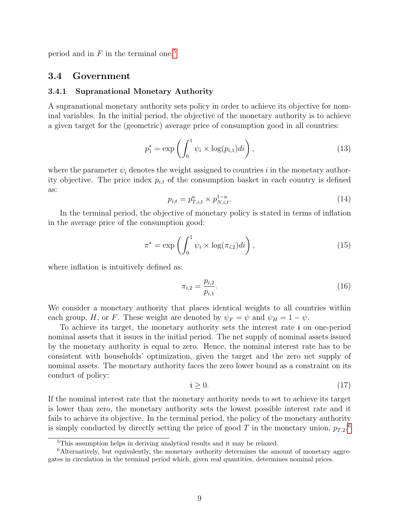period and in  $F$  in the terminal one.<sup>[5](#page-9-0)</sup>

#### 3.4 Government

#### <span id="page-9-2"></span>3.4.1 Supranational Monetary Authority

A supranational monetary authority sets policy in order to achieve its objective for nominal variables. In the initial period, the objective of the monetary authority is to achieve a given target for the (geometric) average price of consumption good in all countries:

<span id="page-9-3"></span>
$$
p_1^* = \exp\left(\int_0^1 \psi_i \times \log(p_{i,1})di\right),\tag{13}
$$

where the parameter  $\psi_i$  denotes the weight assigned to countries i in the monetary authority objective. The price index  $p_{i,t}$  of the consumption basket in each country is defined as:

<span id="page-9-5"></span>
$$
p_{i,t} = p_{T,i,t}^a \times p_{N,i,t}^{1-a}.\tag{14}
$$

In the terminal period, the objective of monetary policy is stated in terms of inflation in the average price of the consumption good:

<span id="page-9-4"></span>
$$
\pi^* = \exp\left(\int_0^1 \psi_i \times \log(\pi_{i,2})di\right),\tag{15}
$$

where inflation is intuitively defined as:

$$
\pi_{i,2} = \frac{p_{i,2}}{p_{i,1}}.\tag{16}
$$

We consider a monetary authority that places identical weights to all countries within each group, H, or F. These weight are denoted by  $\psi_F = \psi$  and  $\psi_H = 1 - \psi$ .

To achieve its target, the monetary authority sets the interest rate i on one-period nominal assets that it issues in the initial period. The net supply of nominal assets issued by the monetary authority is equal to zero. Hence, the nominal interest rate has to be consistent with households' optimization, given the target and the zero net supply of nominal assets. The monetary authority faces the zero lower bound as a constraint on its conduct of policy:

$$
\mathfrak{i} \ge 0. \tag{17}
$$

If the nominal interest rate that the monetary authority needs to set to achieve its target is lower than zero, the monetary authority sets the lowest possible interest rate and it fails to achieve its objective. In the terminal period, the policy of the monetary authority is simply conducted by directly setting the price of good T in the monetary union,  $p_{T,2}$ .<sup>[6](#page-9-1)</sup>

<span id="page-9-1"></span><span id="page-9-0"></span><sup>&</sup>lt;sup>5</sup>This assumption helps in deriving analytical results and it may be relaxed.

<sup>&</sup>lt;sup>6</sup>Alternatively, but equivalently, the monetary authority determines the amount of monetary aggregates in circulation in the terminal period which, given real quantities, determines nominal prices.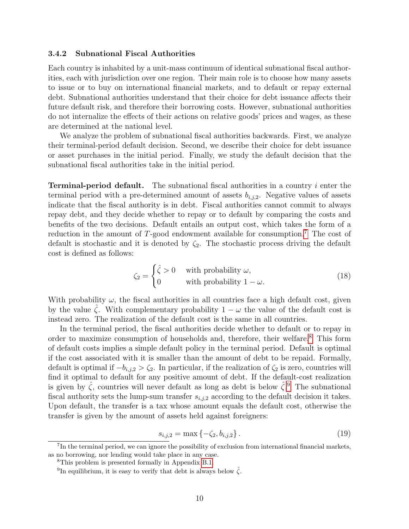#### 3.4.2 Subnational Fiscal Authorities

Each country is inhabited by a unit-mass continuum of identical subnational fiscal authorities, each with jurisdiction over one region. Their main role is to choose how many assets to issue or to buy on international financial markets, and to default or repay external debt. Subnational authorities understand that their choice for debt issuance affects their future default risk, and therefore their borrowing costs. However, subnational authorities do not internalize the effects of their actions on relative goods' prices and wages, as these are determined at the national level.

We analyze the problem of subnational fiscal authorities backwards. First, we analyze their terminal-period default decision. Second, we describe their choice for debt issuance or asset purchases in the initial period. Finally, we study the default decision that the subnational fiscal authorities take in the initial period.

**Terminal-period default.** The subnational fiscal authorities in a country  $i$  enter the terminal period with a pre-determined amount of assets  $b_{i,j,2}$ . Negative values of assets indicate that the fiscal authority is in debt. Fiscal authorities cannot commit to always repay debt, and they decide whether to repay or to default by comparing the costs and benefits of the two decisions. Default entails an output cost, which takes the form of a reduction in the amount of  $T$ -good endowment available for consumption.<sup>[7](#page-10-0)</sup> The cost of default is stochastic and it is denoted by  $\zeta_2$ . The stochastic process driving the default cost is defined as follows:

<span id="page-10-3"></span>
$$
\zeta_2 = \begin{cases} \hat{\zeta} > 0 & \text{with probability } \omega, \\ 0 & \text{with probability } 1 - \omega. \end{cases}
$$
 (18)

With probability  $\omega$ , the fiscal authorities in all countries face a high default cost, given by the value  $\zeta$ . With complementary probability  $1 - \omega$  the value of the default cost is instead zero. The realization of the default cost is the same in all countries.

In the terminal period, the fiscal authorities decide whether to default or to repay in order to maximize consumption of households and, therefore, their welfare.<sup>[8](#page-10-1)</sup> This form of default costs implies a simple default policy in the terminal period. Default is optimal if the cost associated with it is smaller than the amount of debt to be repaid. Formally, default is optimal if  $-b_{i,j,2} > \zeta_2$ . In particular, if the realization of  $\zeta_2$  is zero, countries will find it optimal to default for any positive amount of debt. If the default-cost realization is given by  $\hat{\zeta}$ , countries will never default as long as debt is below  $\hat{\zeta}$ . The subnational fiscal authority sets the lump-sum transfer  $s_{i,j,2}$  according to the default decision it takes. Upon default, the transfer is a tax whose amount equals the default cost, otherwise the transfer is given by the amount of assets held against foreigners:

$$
s_{i,j,2} = \max\left\{-\zeta_2, b_{i,j,2}\right\}.\tag{19}
$$

<span id="page-10-0"></span><sup>&</sup>lt;sup>7</sup>In the terminal period, we can ignore the possibility of exclusion from international financial markets, as no borrowing, nor lending would take place in any case.

<span id="page-10-1"></span><sup>8</sup>This problem is presented formally in Appendix [B.1.](#page-43-0)

<span id="page-10-2"></span><sup>&</sup>lt;sup>9</sup>In equilibrium, it is easy to verify that debt is always below  $\hat{\zeta}$ .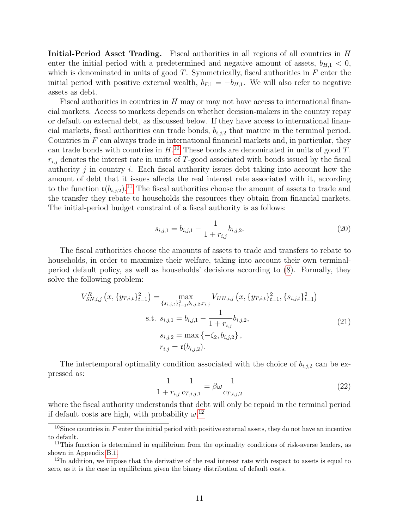Initial-Period Asset Trading. Fiscal authorities in all regions of all countries in H enter the initial period with a predetermined and negative amount of assets,  $b_{H,1} < 0$ , which is denominated in units of good  $T$ . Symmetrically, fiscal authorities in  $F$  enter the initial period with positive external wealth,  $b_{F,1} = -b_{H,1}$ . We will also refer to negative assets as debt.

Fiscal authorities in countries in  $H$  may or may not have access to international financial markets. Access to markets depends on whether decision-makers in the country repay or default on external debt, as discussed below. If they have access to international financial markets, fiscal authorities can trade bonds,  $b_{i,j,2}$  that mature in the terminal period. Countries in  $F$  can always trade in international financial markets and, in particular, they can trade bonds with countries in  $H^{10}$  $H^{10}$  $H^{10}$ . These bonds are denominated in units of good T.  $r_{i,j}$  denotes the interest rate in units of T-good associated with bonds issued by the fiscal authority  $j$  in country  $i$ . Each fiscal authority issues debt taking into account how the amount of debt that it issues affects the real interest rate associated with it, according to the function  $\mathfrak{r}(b_{i,j,2})$ .<sup>[11](#page-11-1)</sup> The fiscal authorities choose the amount of assets to trade and the transfer they rebate to households the resources they obtain from financial markets. The initial-period budget constraint of a fiscal authority is as follows:

<span id="page-11-4"></span>
$$
s_{i,j,1} = b_{i,j,1} - \frac{1}{1 + r_{i,j}} b_{i,j,2}.
$$
\n(20)

The fiscal authorities choose the amounts of assets to trade and transfers to rebate to households, in order to maximize their welfare, taking into account their own terminalperiod default policy, as well as households' decisions according to [\(8\)](#page-8-0). Formally, they solve the following problem:

$$
V_{SN,i,j}^{R}\left(x, \{y_{T,i,t}\}_{t=1}^{2}\right) = \max_{\{s_{i,j,t}\}_{t=1}^{2}, b_{i,j,2}, r_{i,j}} V_{HH,i,j}\left(x, \{y_{T,i,t}\}_{t=1}^{2}, \{s_{i,j,t}\}_{t=1}^{2}\right)
$$
  
s.t.  $s_{i,j,1} = b_{i,j,1} - \frac{1}{1 + r_{i,j}} b_{i,j,2},$   

$$
s_{i,j,2} = \max\left\{-\zeta_2, b_{i,j,2}\right\},
$$

$$
r_{i,j} = \mathfrak{r}(b_{i,j,2}).
$$
\n(21)

The intertemporal optimality condition associated with the choice of  $b_{i,j,2}$  can be expressed as:

<span id="page-11-5"></span><span id="page-11-3"></span>
$$
\frac{1}{1 + r_{i,j}} \frac{1}{c_{T,i,j,1}} = \beta \omega \frac{1}{c_{T,i,j,2}} \tag{22}
$$

where the fiscal authority understands that debt will only be repaid in the terminal period if default costs are high, with probability  $\omega^{12}$  $\omega^{12}$  $\omega^{12}$ 

<span id="page-11-0"></span> $10$ Since countries in F enter the initial period with positive external assets, they do not have an incentive to default.

<span id="page-11-1"></span> $11$ This function is determined in equilibrium from the optimality conditions of risk-averse lenders, as shown in Appendix [B.1.](#page-43-0)

<span id="page-11-2"></span> $12$ In addition, we impose that the derivative of the real interest rate with respect to assets is equal to zero, as it is the case in equilibrium given the binary distribution of default costs.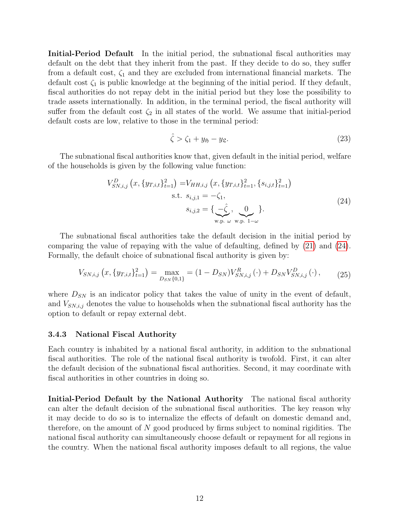Initial-Period Default In the initial period, the subnational fiscal authorities may default on the debt that they inherit from the past. If they decide to do so, they suffer from a default cost,  $\zeta_1$  and they are excluded from international financial markets. The default cost  $\zeta_1$  is public knowledge at the beginning of the initial period. If they default, fiscal authorities do not repay debt in the initial period but they lose the possibility to trade assets internationally. In addition, in the terminal period, the fiscal authority will suffer from the default cost  $\zeta_2$  in all states of the world. We assume that initial-period default costs are low, relative to those in the terminal period:

<span id="page-12-2"></span><span id="page-12-1"></span><span id="page-12-0"></span>
$$
\hat{\zeta} > \zeta_1 + y_{\mathfrak{H}} - y_{\mathfrak{L}}.\tag{23}
$$

The subnational fiscal authorities know that, given default in the initial period, welfare of the households is given by the following value function:

$$
V_{SN,i,j}^{D}\left(x, \{y_{T,i,t}\}_{t=1}^{2}\right) = V_{HH,i,j}\left(x, \{y_{T,i,t}\}_{t=1}^{2}, \{s_{i,j,t}\}_{t=1}^{2}\right)
$$
  
s.t.  $s_{i,j,1} = -\zeta_1$ ,  

$$
s_{i,j,2} = \{\underbrace{-\hat{\zeta}}_{\text{w.p. }\omega}, \underbrace{0}_{\text{w.p. }1-\omega}\}.
$$
 (24)

The subnational fiscal authorities take the default decision in the initial period by comparing the value of repaying with the value of defaulting, defined by [\(21\)](#page-11-3) and [\(24\)](#page-12-0). Formally, the default choice of subnational fiscal authority is given by:

$$
V_{SN,i,j}\left(x,\{y_{T,i,t}\}_{t=1}^2\right) = \max_{D_{SN}\{0,1\}} = (1 - D_{SN})V_{SN,i,j}^R\left(\cdot\right) + D_{SN}V_{SN,i,j}^D\left(\cdot\right),\tag{25}
$$

where  $D_{SN}$  is an indicator policy that takes the value of unity in the event of default, and  $V_{SN,i,j}$  denotes the value to households when the subnational fiscal authority has the option to default or repay external debt.

#### 3.4.3 National Fiscal Authority

Each country is inhabited by a national fiscal authority, in addition to the subnational fiscal authorities. The role of the national fiscal authority is twofold. First, it can alter the default decision of the subnational fiscal authorities. Second, it may coordinate with fiscal authorities in other countries in doing so.

Initial-Period Default by the National Authority The national fiscal authority can alter the default decision of the subnational fiscal authorities. The key reason why it may decide to do so is to internalize the effects of default on domestic demand and, therefore, on the amount of N good produced by firms subject to nominal rigidities. The national fiscal authority can simultaneously choose default or repayment for all regions in the country. When the national fiscal authority imposes default to all regions, the value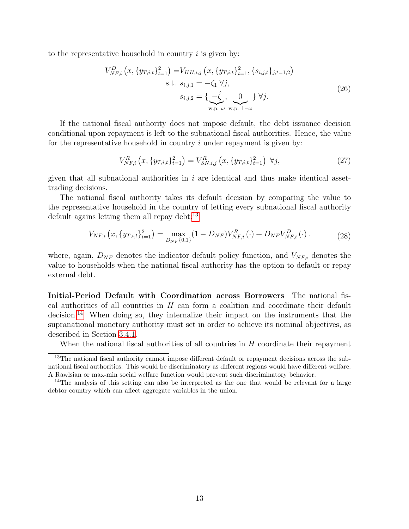to the representative household in country  $i$  is given by:

$$
V_{NF,i}^{D} (x, \{y_{T,i,t}\}_{t=1}^{2}) = V_{HH,i,j} (x, \{y_{T,i,t}\}_{t=1}^{2}, \{s_{i,j,t}\}_{j,t=1,2})
$$
  
s.t.  $s_{i,j,1} = -\zeta_1 \ \forall j$ ,  

$$
s_{i,j,2} = \{\underbrace{-\hat{\zeta}}_{w.p.} , \underbrace{0}_{w.p.} \} \ \forall j.
$$
 (26)

If the national fiscal authority does not impose default, the debt issuance decision conditional upon repayment is left to the subnational fiscal authorities. Hence, the value for the representative household in country  $i$  under repayment is given by:

<span id="page-13-4"></span><span id="page-13-3"></span><span id="page-13-2"></span>
$$
V_{NF,i}^{R}\left(x, \{y_{T,i,t}\}_{t=1}^{2}\right) = V_{SN,i,j}^{R}\left(x, \{y_{T,i,t}\}_{t=1}^{2}\right) \ \forall j,\tag{27}
$$

given that all subnational authorities in  $i$  are identical and thus make identical assettrading decisions.

The national fiscal authority takes its default decision by comparing the value to the representative household in the country of letting every subnational fiscal authority default agains letting them all repay debt: $^{13}$  $^{13}$  $^{13}$ 

$$
V_{NF,i}\left(x,\{y_{T,i,t}\}_{t=1}^2\right) = \max_{D_{NF}\{0,1\}} (1 - D_{NF}) V_{NF,i}^R\left(\cdot\right) + D_{NF} V_{NF,i}^D\left(\cdot\right). \tag{28}
$$

where, again,  $D_{NF}$  denotes the indicator default policy function, and  $V_{NF,i}$  denotes the value to households when the national fiscal authority has the option to default or repay external debt.

Initial-Period Default with Coordination across Borrowers The national fiscal authorities of all countries in  $H$  can form a coalition and coordinate their default decision.[14](#page-13-1) When doing so, they internalize their impact on the instruments that the supranational monetary authority must set in order to achieve its nominal objectives, as described in Section [3.4.1.](#page-9-2)

<span id="page-13-0"></span>When the national fiscal authorities of all countries in  $H$  coordinate their repayment

<sup>&</sup>lt;sup>13</sup>The national fiscal authority cannot impose different default or repayment decisions across the subnational fiscal authorities. This would be discriminatory as different regions would have different welfare. A Rawlsian or max-min social welfare function would prevent such discriminatory behavior.

<span id="page-13-1"></span><sup>&</sup>lt;sup>14</sup>The analysis of this setting can also be interpreted as the one that would be relevant for a large debtor country which can affect aggregate variables in the union.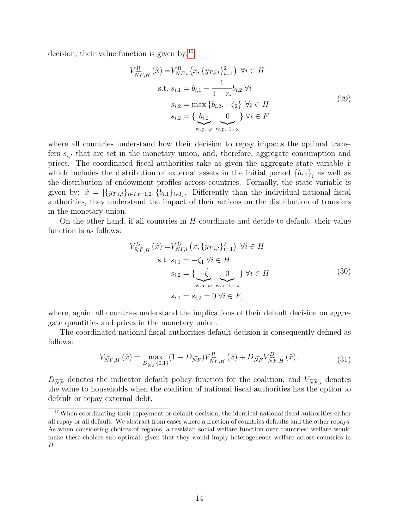decision, their value function is given by:<sup>[15](#page-14-0)</sup>

<span id="page-14-3"></span>
$$
V_{\overline{NF},H}^{R}(\hat{x}) = V_{NF,i}^{R} (x, \{y_{T,i,t}\}_{t=1}^{2}) \quad \forall i \in H
$$
  
s.t.  $s_{i,1} = b_{i,1} - \frac{1}{1+r_{i}} b_{i,2} \quad \forall i$   

$$
s_{i,2} = \max \{b_{i,2}, -\zeta_{2}\} \quad \forall i \in H
$$
  

$$
s_{i,2} = \{ \underbrace{b_{i,2}}_{\text{w.p. } \omega} \underbrace{0}_{\text{w.p. } 1-\omega} \} \forall i \in F
$$
 (29)

where all countries understand how their decision to repay impacts the optimal transfers  $s_{i,t}$  that are set in the monetary union, and, therefore, aggregate consumption and prices. The coordinated fiscal authorities take as given the aggregate state variable  $\hat{x}$ which includes the distribution of external assets in the initial period  ${b_{i,1}}_i$  as well as the distribution of endowment profiles across countries. Formally, the state variable is given by:  $\hat{x} = [\{y_{T,i,t}\}_{i \in I, t=1,2}, \{b_{i,1}\}_{i \in I}]$ . Differently than the individual national fiscal authorities, they understand the impact of their actions on the distribution of transfers in the monetary union.

On the other hand, if all countries in  $H$  coordinate and decide to default, their value function is as follows:

<span id="page-14-2"></span><span id="page-14-1"></span>
$$
V_{\widehat{N}F,H}^{D}(\hat{x}) = V_{NF,i}^{D} (x, \{y_{T,i,t}\}_{t=1}^{2}) \ \forall i \in H
$$
  
s.t.  $s_{i,1} = -\zeta_{1} \ \forall i \in H$   

$$
s_{i,2} = \{ \underbrace{-\hat{\zeta}}_{\text{w.p. } \omega} 0 \} \ \forall i \in H
$$
  

$$
s_{i,1} = s_{i,2} = 0 \ \forall i \in F,
$$
 (30)

where, again, all countries understand the implications of their default decision on aggregate quantities and prices in the monetary union.

The coordinated national fiscal authorities default decision is consequently defined as follows:

$$
V_{\widehat{NF},H}(\hat{x}) = \max_{D_{\widehat{NF}}\{0,1\}} (1 - D_{\widehat{NF}}) V_{\widehat{NF},H}^R(\hat{x}) + D_{\widehat{NF}} V_{\widehat{NF},H}^D(\hat{x}) \,. \tag{31}
$$

 $D_{\widehat{NF}}$  denotes the indicator default policy function for the coalition, and  $V_{\widehat{NF},i}$  denotes the value to households when the coalition of national fiscal authorities has the option to default or repay external debt.

<span id="page-14-0"></span><sup>15</sup>When coordinating their repayment or default decision, the identical national fiscal authorities either all repay or all default. We abstract from cases where a fraction of countries defaults and the other repays. As when considering choices of regions, a rawlsian social welfare function over countries' welfare would make these choices sub-optimal, given that they would imply heterogeneous welfare across countries in H.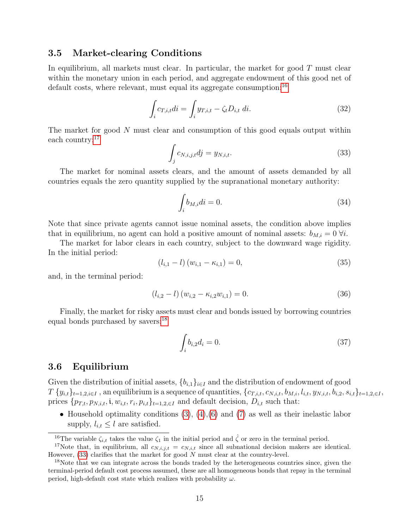#### 3.5 Market-clearing Conditions

In equilibrium, all markets must clear. In particular, the market for good  $T$  must clear within the monetary union in each period, and aggregate endowment of this good net of default costs, where relevant, must equal its aggregate consumption:<sup>[16](#page-15-0)</sup>

<span id="page-15-4"></span>
$$
\int_{i} c_{T,i,t} di = \int_{i} y_{T,i,t} - \zeta_t D_{i,t} di.
$$
\n(32)

The market for good N must clear and consumption of this good equals output within each country:[17](#page-15-1)

<span id="page-15-3"></span>
$$
\int_{j} c_{N,i,j,t} d j = y_{N,i,t}.\tag{33}
$$

The market for nominal assets clears, and the amount of assets demanded by all countries equals the zero quantity supplied by the supranational monetary authority:

<span id="page-15-5"></span>
$$
\int_{i} b_{M,i} di = 0. \tag{34}
$$

Note that since private agents cannot issue nominal assets, the condition above implies that in equilibrium, no agent can hold a positive amount of nominal assets:  $b_{M,i} = 0 \forall i$ .

The market for labor clears in each country, subject to the downward wage rigidity. In the initial period:

<span id="page-15-6"></span>
$$
(l_{i,1} - l) (w_{i,1} - \kappa_{i,1}) = 0,
$$
\n(35)

and, in the terminal period:

<span id="page-15-7"></span>
$$
(l_{i,2} - l) (w_{i,2} - \kappa_{i,2} w_{i,1}) = 0.
$$
\n(36)

Finally, the market for risky assets must clear and bonds issued by borrowing countries equal bonds purchased by savers:<sup>[18](#page-15-2)</sup>

<span id="page-15-8"></span>
$$
\int_{i} b_{i,2} d_i = 0. \tag{37}
$$

### <span id="page-15-9"></span>3.6 Equilibrium

Given the distribution of initial assets,  ${b_{i,1}}_{i\in I}$  and the distribution of endowment of good  $T \{y_{i,t}\}_{t=1,2,i\in I}$ , an equilibrium is a sequence of quantities,  $\{c_{T,i,t}, c_{N,i,t}, b_{M,i}, l_{i,t}, y_{N,i,t}, b_{i,2}, s_{i,t}\}_{t=1,2,\in I}$ , prices  $\{p_{T,t}, p_{N,i,t}, \mathbf{i}, w_{i,t}, r_i, p_{i,t}\}_{t=1,2,\in I}$  and default decision,  $D_{i,t}$  such that:

• Household optimality conditions  $(3)$ ,  $(4)$ ,  $(6)$  and  $(7)$  as well as their inelastic labor supply,  $l_{i,t} \leq l$  are satisfied.

<span id="page-15-1"></span><span id="page-15-0"></span><sup>&</sup>lt;sup>16</sup>The variable  $\zeta_{i,t}$  takes the value  $\zeta_1$  in the initial period and  $\hat{\zeta}$  or zero in the terminal period.

<sup>&</sup>lt;sup>17</sup>Note that, in equilibrium, all  $c_{N,i,j,t} = c_{N,i,t}$  since all subnational decision makers are identical. However,  $(33)$  clarifies that the market for good  $N$  must clear at the country-level.

<span id="page-15-2"></span><sup>&</sup>lt;sup>18</sup>Note that we can integrate across the bonds traded by the heterogeneous countries since, given the terminal-period default cost process assumed, these are all homogeneous bonds that repay in the terminal period, high-default cost state which realizes with probability  $\omega$ .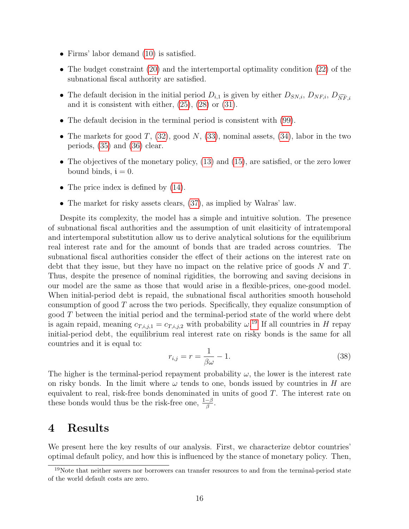- Firms' labor demand [\(10\)](#page-8-2) is satisfied.
- The budget constraint [\(20\)](#page-11-4) and the intertemportal optimality condition [\(22\)](#page-11-5) of the subnational fiscal authority are satisfied.
- The default decision in the initial period  $D_{i,1}$  is given by either  $D_{SN,i}$ ,  $D_{NF,i}$ ,  $D_{\widehat{NF}i}$ and it is consistent with either, [\(25\)](#page-12-1), [\(28\)](#page-13-2) or [\(31\)](#page-14-1).
- The default decision in the terminal period is consistent with [\(99\)](#page-43-1).
- The markets for good  $T$ , [\(32\)](#page-15-4), good  $N$ , [\(33\)](#page-15-3), nominal assets, [\(34\)](#page-15-5), labor in the two periods, [\(35\)](#page-15-6) and [\(36\)](#page-15-7) clear.
- The objectives of the monetary policy, [\(13\)](#page-9-3) and [\(15\)](#page-9-4), are satisfied, or the zero lower bound binds,  $i = 0$ .
- The price index is defined by  $(14)$ .
- The market for risky assets clears,  $(37)$ , as implied by Walras' law.

Despite its complexity, the model has a simple and intuitive solution. The presence of subnational fiscal authorities and the assumption of unit elasiticity of intratemporal and intertemporal substitution allow us to derive analytical solutions for the equilibrium real interest rate and for the amount of bonds that are traded across countries. The subnational fiscal authorities consider the effect of their actions on the interest rate on debt that they issue, but they have no impact on the relative price of goods  $N$  and  $T$ . Thus, despite the presence of nominal rigidities, the borrowing and saving decisions in our model are the same as those that would arise in a flexible-prices, one-good model. When initial-period debt is repaid, the subnational fiscal authorities smooth household consumption of good T across the two periods. Specifically, they equalize consumption of good  $T$  between the initial period and the terminal-period state of the world where debt is again repaid, meaning  $c_{T,i,j,1} = c_{T,i,j,2}$  with probability  $\omega^{19}$  $\omega^{19}$  $\omega^{19}$ . If all countries in H repay initial-period debt, the equilibrium real interest rate on risky bonds is the same for all countries and it is equal to:

<span id="page-16-1"></span>
$$
r_{i,j} = r = \frac{1}{\beta \omega} - 1.
$$
\n(38)

The higher is the terminal-period repayment probability  $\omega$ , the lower is the interest rate on risky bonds. In the limit where  $\omega$  tends to one, bonds issued by countries in H are equivalent to real, risk-free bonds denominated in units of good  $T$ . The interest rate on these bonds would thus be the risk-free one,  $\frac{1-\beta}{\beta}$ .

# 4 Results

We present here the key results of our analysis. First, we characterize debtor countries' optimal default policy, and how this is influenced by the stance of monetary policy. Then,

<span id="page-16-0"></span><sup>&</sup>lt;sup>19</sup>Note that neither savers nor borrowers can transfer resources to and from the terminal-period state of the world default costs are zero.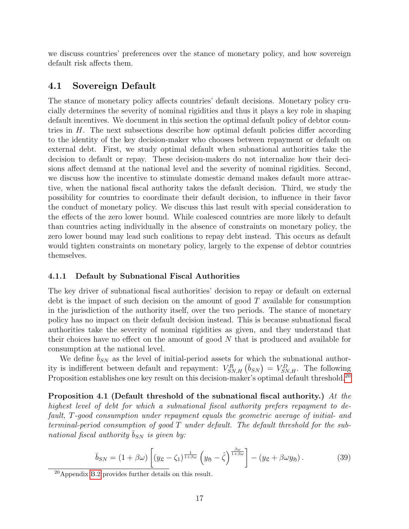we discuss countries' preferences over the stance of monetary policy, and how sovereign default risk affects them.

### 4.1 Sovereign Default

The stance of monetary policy affects countries' default decisions. Monetary policy crucially determines the severity of nominal rigidities and thus it plays a key role in shaping default incentives. We document in this section the optimal default policy of debtor countries in  $H$ . The next subsections describe how optimal default policies differ according to the identity of the key decision-maker who chooses between repayment or default on external debt. First, we study optimal default when subnational authorities take the decision to default or repay. These decision-makers do not internalize how their decisions affect demand at the national level and the severity of nominal rigidities. Second, we discuss how the incentive to stimulate domestic demand makes default more attractive, when the national fiscal authority takes the default decision. Third, we study the possibility for countries to coordinate their default decision, to influence in their favor the conduct of monetary policy. We discuss this last result with special consideration to the effects of the zero lower bound. While coalesced countries are more likely to default than countries acting individually in the absence of constraints on monetary policy, the zero lower bound may lead such coalitions to repay debt instead. This occurs as default would tighten constraints on monetary policy, largely to the expense of debtor countries themselves.

#### 4.1.1 Default by Subnational Fiscal Authorities

The key driver of subnational fiscal authorities' decision to repay or default on external debt is the impact of such decision on the amount of good  $T$  available for consumption in the jurisdiction of the authority itself, over the two periods. The stance of monetary policy has no impact on their default decision instead. This is because subnational fiscal authorities take the severity of nominal rigidities as given, and they understand that their choices have no effect on the amount of good  $N$  that is produced and available for consumption at the national level.

We define  $b_{SN}$  as the level of initial-period assets for which the subnational authority is indifferent between default and repayment:  $V_{SN,H}^R$   $(\bar{b}_{SN}) = V_{SN,H}^D$ . The following Proposition establishes one key result on this decision-maker's optimal default threshold.<sup>[20](#page-17-0)</sup>

<span id="page-17-1"></span>Proposition 4.1 (Default threshold of the subnational fiscal authority.) At the highest level of debt for which a subnational fiscal authority prefers repayment to default, T-good consumption under repayment equals the geometric average of initial- and terminal-period consumption of good T under default. The default threshold for the subnational fiscal authority  $b_{SN}$  is given by:

<span id="page-17-2"></span>
$$
\overline{b}_{SN} = (1 + \beta \omega) \left[ (y_{\mathfrak{L}} - \zeta_1)^{\frac{1}{1 + \beta \omega}} \left( y_{\mathfrak{H}} - \hat{\zeta} \right)^{\frac{\beta \omega}{1 + \beta \omega}} \right] - (y_{\mathfrak{L}} + \beta \omega y_{\mathfrak{H}}). \tag{39}
$$

<span id="page-17-0"></span><sup>20</sup>Appendix [B.2](#page-44-0) provides further details on this result.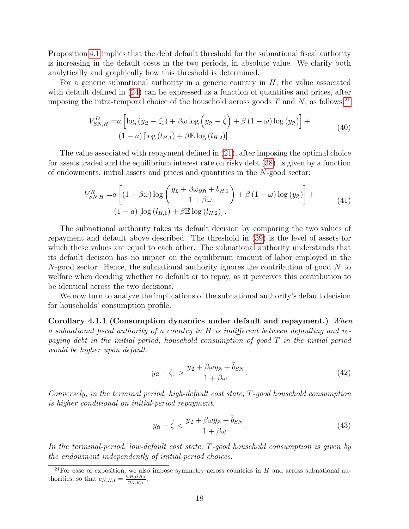Proposition [4.1](#page-17-1) implies that the debt default threshold for the subnational fiscal authority is increasing in the default costs in the two periods, in absolute value. We clarify both analytically and graphically how this threshold is determined.

For a generic subnational authority in a generic country in  $H$ , the value associated with default defined in  $(24)$  can be expressed as a function of quantities and prices, after imposing the intra-temporal choice of the household across goods  $T$  and  $N$ , as follows:<sup>[21](#page-18-0)</sup>

<span id="page-18-2"></span>
$$
V_{SN,H}^{D} = a \left[ \log \left( y_{\mathfrak{L}} - \zeta_{1} \right) + \beta \omega \log \left( y_{\mathfrak{H}} - \hat{\zeta} \right) + \beta \left( 1 - \omega \right) \log \left( y_{\mathfrak{H}} \right) \right] +
$$
  
\n
$$
(1 - a) \left[ \log \left( l_{H,1} \right) + \beta \mathbb{E} \log \left( l_{H,2} \right) \right].
$$
\n(40)

The value associated with repayment defined in [\(21\)](#page-11-3), after imposing the optimal choice for assets traded and the equilibrium interest rate on risky debt [\(38\)](#page-16-1), is given by a function of endowments, initial assets and prices and quantities in the N-good sector:

$$
V_{SN,H}^{R} = a \left[ (1 + \beta \omega) \log \left( \frac{y_{\mathfrak{L}} + \beta \omega y_{\mathfrak{H}} + b_{H,1}}{1 + \beta \omega} \right) + \beta (1 - \omega) \log (y_{\mathfrak{H}}) \right] +
$$
  
(1 - a)  $\left[ \log (l_{H,1}) + \beta \mathbb{E} \log (l_{H,2}) \right].$  (41)

The subnational authority takes its default decision by comparing the two values of repayment and default above described. The threshold in [\(39\)](#page-17-2) is the level of assets for which these values are equal to each other. The subnational authority understands that its default decision has no impact on the equilibrium amount of labor employed in the N-good sector. Hence, the subnational authority ignores the contribution of good N to welfare when deciding whether to default or to repay, as it perceives this contribution to be identical across the two decisions.

We now turn to analyze the implications of the subnational authority's default decision for households' consumption profile.

Corollary 4.1.1 (Consumption dynamics under default and repayment.) When a subnational fiscal authority of a country in H is indifferent between defaulting and repaying debt in the initial period, household consumption of good T in the initial period would be higher upon default:

<span id="page-18-3"></span><span id="page-18-1"></span>
$$
y_{\mathfrak{L}} - \zeta_1 > \frac{y_{\mathfrak{L}} + \beta \omega y_{\mathfrak{H}} + \bar{b}_{SN}}{1 + \beta \omega}.
$$
 (42)

Conversely, in the terminal period, high-default cost state, T-good household consumption is higher conditional on initial-period repayment.

$$
y_{\mathfrak{H}} - \hat{\zeta} < \frac{y_{\mathfrak{L}} + \beta \omega y_{\mathfrak{H}} + \bar{b}_{SN}}{1 + \beta \omega}.\tag{43}
$$

In the terminal-period, low-default cost state, T-good household consumption is given by the endowment independently of initial-period choices.

<span id="page-18-0"></span> $^{21}$ For ease of exposition, we also impose symmetry across countries in H and across subnational authorities, so that  $c_{N,H,t} = \frac{w_{H,t}l_{H,t}}{p_{N,H,t}}$  $\frac{p_{H,t}u_{H,t}}{p_{N,H,t}}$ .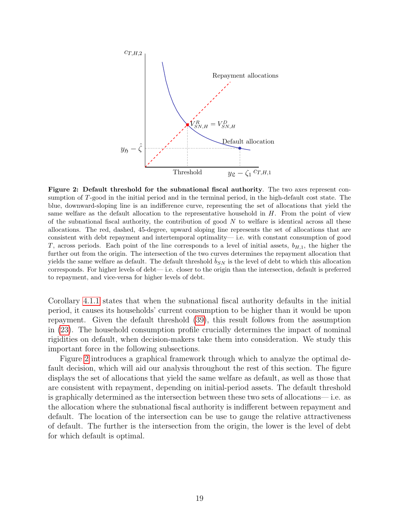<span id="page-19-0"></span>

Figure 2: Default threshold for the subnational fiscal authority. The two axes represent consumption of T-good in the initial period and in the terminal period, in the high-default cost state. The blue, downward-sloping line is an indifference curve, representing the set of allocations that yield the same welfare as the default allocation to the representative household in  $H$ . From the point of view of the subnational fiscal authority, the contribution of good  $N$  to welfare is identical across all these allocations. The red, dashed, 45-degree, upward sloping line represents the set of allocations that are consistent with debt repayment and intertemporal optimality— i.e. with constant consumption of good T, across periods. Each point of the line corresponds to a level of initial assets,  $b_{H,1}$ , the higher the further out from the origin. The intersection of the two curves determines the repayment allocation that yields the same welfare as default. The default threshold  $\bar{b}_{SN}$  is the level of debt to which this allocation corresponds. For higher levels of debt— i.e. closer to the origin than the intersection, default is preferred to repayment, and vice-versa for higher levels of debt.

Corollary [4.1.1](#page-18-1) states that when the subnational fiscal authority defaults in the initial period, it causes its households' current consumption to be higher than it would be upon repayment. Given the default threshold [\(39\)](#page-17-2), this result follows from the assumption in [\(23\)](#page-12-2). The household consumption profile crucially determines the impact of nominal rigidities on default, when decision-makers take them into consideration. We study this important force in the following subsections.

Figure [2](#page-19-0) introduces a graphical framework through which to analyze the optimal default decision, which will aid our analysis throughout the rest of this section. The figure displays the set of allocations that yield the same welfare as default, as well as those that are consistent with repayment, depending on initial-period assets. The default threshold is graphically determined as the intersection between these two sets of allocations— i.e. as the allocation where the subnational fiscal authority is indifferent between repayment and default. The location of the intersection can be use to gauge the relative attractiveness of default. The further is the intersection from the origin, the lower is the level of debt for which default is optimal.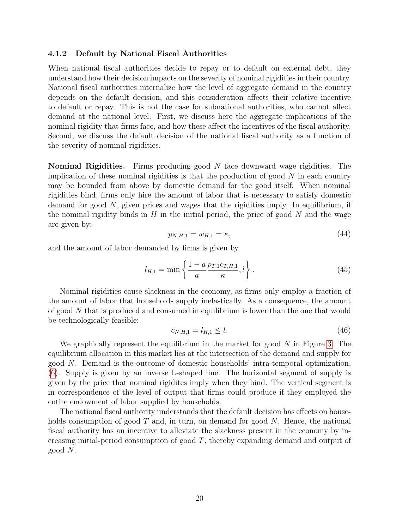#### 4.1.2 Default by National Fiscal Authorities

When national fiscal authorities decide to repay or to default on external debt, they understand how their decision impacts on the severity of nominal rigidities in their country. National fiscal authorities internalize how the level of aggregate demand in the country depends on the default decision, and this consideration affects their relative incentive to default or repay. This is not the case for subnational authorities, who cannot affect demand at the national level. First, we discuss here the aggregate implications of the nominal rigidity that firms face, and how these affect the incentives of the fiscal authority. Second, we discuss the default decision of the national fiscal authority as a function of the severity of nominal rigidities.

**Nominal Rigidities.** Firms producing good  $N$  face downward wage rigidities. The implication of these nominal rigidities is that the production of good  $N$  in each country may be bounded from above by domestic demand for the good itself. When nominal rigidities bind, firms only hire the amount of labor that is necessary to satisfy domestic demand for good  $N$ , given prices and wages that the rigidities imply. In equilibrium, if the nominal rigidity binds in  $H$  in the initial period, the price of good  $N$  and the wage are given by:

$$
p_{N,H,1} = w_{H,1} = \kappa,\t\t(44)
$$

and the amount of labor demanded by firms is given by

$$
l_{H,1} = \min\left\{\frac{1 - a}{a} \frac{p_{T,1} c_{T,H,1}}{\kappa}, l\right\}.
$$
 (45)

Nominal rigidities cause slackness in the economy, as firms only employ a fraction of the amount of labor that households supply inelastically. As a consequence, the amount of good N that is produced and consumed in equilibrium is lower than the one that would be technologically feasible:

$$
c_{N,H,1} = l_{H,1} \le l. \tag{46}
$$

We graphically represent the equilibrium in the market for good  $N$  in Figure [3.](#page-21-0) The equilibrium allocation in this market lies at the intersection of the demand and supply for good N. Demand is the outcome of domestic households' intra-temporal optimization, [\(6\)](#page-7-3). Supply is given by an inverse L-shaped line. The horizontal segment of supply is given by the price that nominal rigidites imply when they bind. The vertical segment is in correspondence of the level of output that firms could produce if they employed the entire endowment of labor supplied by households.

The national fiscal authority understands that the default decision has effects on households consumption of good  $T$  and, in turn, on demand for good  $N$ . Hence, the national fiscal authority has an incentive to alleviate the slackness present in the economy by increasing initial-period consumption of good T, thereby expanding demand and output of good N.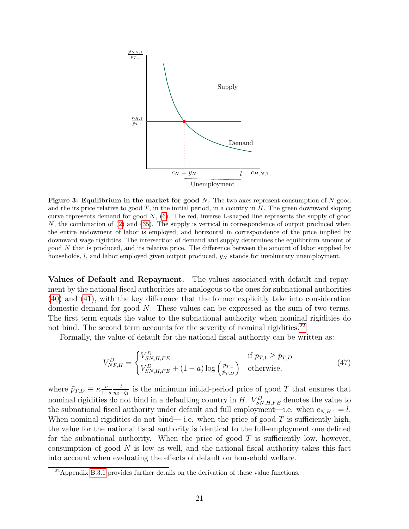<span id="page-21-0"></span>

Figure 3: Equilibrium in the market for good  $N$ . The two axes represent consumption of  $N$ -good and the its price relative to good  $T$ , in the initial period, in a country in  $H$ . The green downward sloping curve represents demand for good  $N$ , [\(6\)](#page-7-3). The red, inverse L-shaped line represents the supply of good  $N$ , the combination of  $(2)$  and  $(35)$ . The supply is vertical in correspondence of output produced when the entire endowment of labor is employed, and horizontal in correspondence of the price implied by downward wage rigidities. The intersection of demand and supply determines the equilibrium amount of good N that is produced, and its relative price. The difference between the amount of labor supplied by households,  $l$ , and labor employed given output produced,  $y_N$  stands for involuntary unemployment.

Values of Default and Repayment. The values associated with default and repayment by the national fiscal authorities are analogous to the ones for subnational authorities [\(40\)](#page-18-2) and [\(41\)](#page-18-3), with the key difference that the former explicitly take into consideration domestic demand for good N. These values can be expressed as the sum of two terms. The first term equals the value to the subnational authority when nominal rigidities do not bind. The second term accounts for the severity of nominal rigidities.<sup>[22](#page-21-1)</sup>

Formally, the value of default for the national fiscal authority can be written as:

<span id="page-21-2"></span>
$$
V_{NF,H}^D = \begin{cases} V_{SN,H,FE}^D & \text{if } p_{T,1} \ge \tilde{p}_{T,D} \\ V_{SN,H,FE}^D + (1-a) \log \left( \frac{p_{T,1}}{\tilde{p}_{T,D}} \right) & \text{otherwise,} \end{cases}
$$
(47)

where  $\tilde{p}_{T,D} \equiv \kappa \frac{a}{1-\epsilon}$  $1-a$ l  $\frac{l}{y_2-\zeta_1}$  is the minimum initial-period price of good T that ensures that nominal rigidities do not bind in a defaulting country in  $H$ .  $V_{SN,H,FE}^D$  denotes the value to the subnational fiscal authority under default and full employment—i.e. when  $c_{N,H,1} = l$ . When nominal rigidities do not bind— i.e. when the price of good  $T$  is sufficiently high, the value for the national fiscal authority is identical to the full-employment one defined for the subnational authority. When the price of good  $T$  is sufficiently low, however, consumption of good  $N$  is low as well, and the national fiscal authority takes this fact into account when evaluating the effects of default on household welfare.

<span id="page-21-1"></span><sup>22</sup>Appendix [B.3.1](#page-45-0) provides further details on the derivation of these value functions.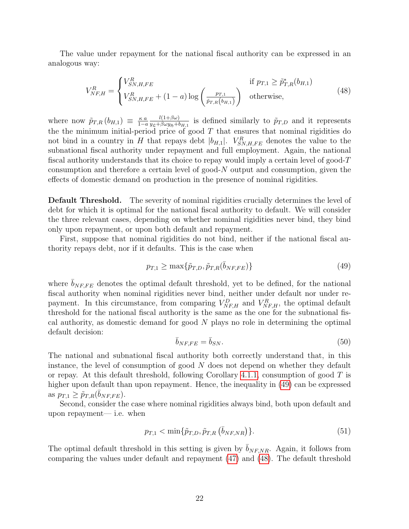The value under repayment for the national fiscal authority can be expressed in an analogous way:

<span id="page-22-1"></span>
$$
V_{NF,H}^{R} = \begin{cases} V_{SN,H,FE}^{R} & \text{if } p_{T,1} \ge \tilde{p}_{T,R}^{*}(b_{H,1}) \\ V_{SN,H,FE}^{R} + (1-a) \log \left( \frac{p_{T,1}}{\tilde{p}_{T,R}(b_{H,1})} \right) & \text{otherwise,} \end{cases}
$$
(48)

where now  $\tilde{p}_{T,R} (b_{H,1}) \equiv \frac{\kappa a}{1-\epsilon}$  $1-a$  $l(1+\beta\omega)$  $\frac{l(1+\beta\omega)}{y_2+\beta\omega y_5+b_{H,1}}$  is defined similarly to  $\tilde{p}_{T,D}$  and it represents the the minimum initial-period price of good  $T$  that ensures that nominal rigidities do not bind in a country in H that repays debt  $|b_{H,1}|$ .  $V_{SN,H,FE}^R$  denotes the value to the subnational fiscal authority under repayment and full employment. Again, the national fiscal authority understands that its choice to repay would imply a certain level of good-T consumption and therefore a certain level of good-N output and consumption, given the effects of domestic demand on production in the presence of nominal rigidities.

**Default Threshold.** The severity of nominal rigidities crucially determines the level of debt for which it is optimal for the national fiscal authority to default. We will consider the three relevant cases, depending on whether nominal rigidities never bind, they bind only upon repayment, or upon both default and repayment.

First, suppose that nominal rigidities do not bind, neither if the national fiscal authority repays debt, nor if it defaults. This is the case when

<span id="page-22-0"></span>
$$
p_{T,1} \ge \max\{\tilde{p}_{T,D}, \tilde{p}_{T,R}(\bar{b}_{NF,FE})\} \tag{49}
$$

where  $b_{NF,FE}$  denotes the optimal default threshold, yet to be defined, for the national fiscal authority when nominal rigidities never bind, neither under default nor under repayment. In this circumstance, from comparing  $V_{NF,H}^D$  and  $V_{NF,H}^R$ , the optimal default threshold for the national fiscal authority is the same as the one for the subnational fiscal authority, as domestic demand for good N plays no role in determining the optimal default decision:

$$
\bar{b}_{NF,FE} = \bar{b}_{SN}.\tag{50}
$$

The national and subnational fiscal authority both correctly understand that, in this instance, the level of consumption of good  $N$  does not depend on whether they default or repay. At this default threshold, following Corollary [4.1.1,](#page-18-1) consumption of good  $T$  is higher upon default than upon repayment. Hence, the inequality in [\(49\)](#page-22-0) can be expressed as  $p_{T,1} \geq \tilde{p}_{T,R}(\bar{b}_{NF,FE}).$ 

Second, consider the case where nominal rigidities always bind, both upon default and upon repayment— i.e. when

$$
p_{T,1} < \min\{\tilde{p}_{T,D}, \tilde{p}_{T,R} \left( \bar{b}_{NF,NR} \right) \}. \tag{51}
$$

The optimal default threshold in this setting is given by  $\bar{b}_{NFR}$ . Again, it follows from comparing the values under default and repayment [\(47\)](#page-21-2) and [\(48\)](#page-22-1). The default threshold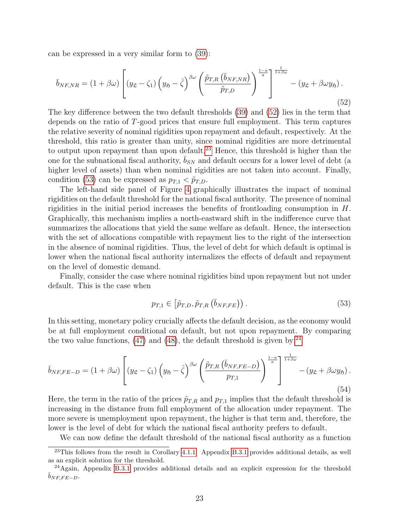can be expressed in a very similar form to [\(39\)](#page-17-2):

<span id="page-23-0"></span>
$$
\bar{b}_{NF,NR} = (1 + \beta \omega) \left[ (y_{\mathfrak{L}} - \zeta_1) \left( y_{\mathfrak{H}} - \hat{\zeta} \right)^{\beta \omega} \left( \frac{\tilde{p}_{T,R} \left( \bar{b}_{NF,NR} \right)}{\tilde{p}_{T,D}} \right)^{\frac{1-a}{a}} \right]_{\beta}^{\frac{1-a}{a}} - (y_{\mathfrak{L}} + \beta \omega y_{\mathfrak{H}}). \tag{52}
$$

The key difference between the two default thresholds [\(39\)](#page-17-2) and [\(52\)](#page-23-0) lies in the term that depends on the ratio of T-good prices that ensure full employment. This term captures the relative severity of nominal rigidities upon repayment and default, respectively. At the threshold, this ratio is greater than unity, since nominal rigidities are more detrimental to output upon repayment than upon default.<sup>[23](#page-23-1)</sup> Hence, this threshold is higher than the one for the subnational fiscal authority,  $\bar{b}_{SN}$  and default occurs for a lower level of debt (a higher level of assets) than when nominal rigidities are not taken into account. Finally, condition [\(53\)](#page-23-2) can be expressed as  $p_{T,1} < \tilde{p}_{T,D}$ .

The left-hand side panel of Figure [4](#page-24-0) graphically illustrates the impact of nominal rigidities on the default threshold for the national fiscal authority. The presence of nominal rigidities in the initial period increases the benefits of frontloading consumption in  $H$ . Graphically, this mechanism implies a north-eastward shift in the indifference curve that summarizes the allocations that yield the same welfare as default. Hence, the intersection with the set of allocations compatible with repayment lies to the right of the intersection in the absence of nominal rigidities. Thus, the level of debt for which default is optimal is lower when the national fiscal authority internalizes the effects of default and repayment on the level of domestic demand.

Finally, consider the case where nominal rigidities bind upon repayment but not under default. This is the case when

<span id="page-23-2"></span>
$$
p_{T,1} \in \left[ \tilde{p}_{T,D}, \tilde{p}_{T,R} \left( \bar{b}_{NF,FE} \right) \right). \tag{53}
$$

In this setting, monetary policy crucially affects the default decision, as the economy would be at full employment conditional on default, but not upon repayment. By comparing the two value functions,  $(47)$  and  $(48)$ , the default threshold is given by:<sup>[24](#page-23-3)</sup>

$$
\bar{b}_{NF,FE-D} = (1 + \beta \omega) \left[ (y_{\mathfrak{L}} - \zeta_1) \left( y_{\mathfrak{H}} - \hat{\zeta} \right)^{\beta \omega} \left( \frac{\tilde{p}_{T,R} \left( \bar{b}_{NF,FE-D} \right)}{p_{T,1}} \right)^{\frac{1-a}{a}} \right]_{+ \beta \omega}^{-\frac{1}{1+\beta \omega}} - (y_{\mathfrak{L}} + \beta \omega y_{\mathfrak{H}}). \tag{54}
$$

Here, the term in the ratio of the prices  $\tilde{p}_{T,R}$  and  $p_{T,1}$  implies that the default threshold is increasing in the distance from full employment of the allocation under repayment. The more severe is unemployment upon repayment, the higher is that term and, therefore, the lower is the level of debt for which the national fiscal authority prefers to default.

We can now define the default threshold of the national fiscal authority as a function

<span id="page-23-1"></span> $23$ This follows from the result in Corollary [4.1.1.](#page-18-1) Appendix [B.3.1](#page-45-0) provides additional details, as well as an explicit solution for the threshold.

<span id="page-23-3"></span><sup>&</sup>lt;sup>24</sup>Again, Appendix [B.3.1](#page-45-0) provides additional details and an explicit expression for the threshold  $b_{NF, FE-D}$ .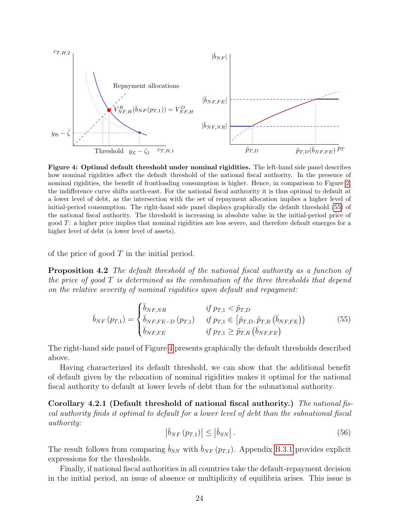<span id="page-24-0"></span>

Figure 4: Optimal default threshold under nominal rigidities. The left-hand side panel describes how nominal rigidities affect the default threshold of the national fiscal authority. In the presence of nominal rigidities, the benefit of frontloading consumption is higher. Hence, in comparison to Figure [2,](#page-19-0) the indifference curve shifts north-east. For the national fiscal authrority it is thus optimal to default at a lower level of debt, as the intersection with the set of repayment allocation implies a higher level of initial-period consumption. The right-hand side panel displays graphically the default threshold [\(55\)](#page-24-1) of the national fiscal authority. The threshold is increasing in absolute value in the initial-period price of good T: a higher price implies that nominal rigidities are less severe, and therefore default emerges for a higher level of debt (a lower level of assets).

of the price of good  $T$  in the initial period.

**Proposition 4.2** The default threshold of the national fiscal authority as a function of the price of good  $T$  is determined as the combination of the three thresholds that depend on the relative severity of nominal rigidities upon default and repayment:

$$
\bar{b}_{NF}(p_{T,1}) = \begin{cases}\n\bar{b}_{NF,NR} & \text{if } p_{T,1} < \tilde{p}_{T,D} \\
\bar{b}_{NF,FE-D}(p_{T,1}) & \text{if } p_{T,1} \in [\tilde{p}_{T,D}, \tilde{p}_{T,R}(\bar{b}_{NF,FE})) \\
\bar{b}_{NF,FE} & \text{if } p_{T,1} \ge \tilde{p}_{T,R}(\bar{b}_{NF,FE})\n\end{cases}
$$
\n(55)

The right-hand side panel of Figure [4](#page-24-0) presents graphically the default thresholds described above.

Having characterized its default threshold, we can show that the additional benefit of default given by the relaxation of nominal rigidities makes it optimal for the national fiscal authority to default at lower levels of debt than for the subnational authority.

Corollary 4.2.1 (Default threshold of national fiscal authority.) The national fiscal authority finds it optimal to default for a lower level of debt than the subnational fiscal authority:

<span id="page-24-1"></span>
$$
\left| \bar{b}_{NF} \left( p_{T,1} \right) \right| \le \left| \bar{b}_{SN} \right|.
$$
\n(56)

The result follows from comparing  $\bar{b}_{SN}$  with  $\bar{b}_{NF} (p_{T,1})$ . Appendix [B.3.1](#page-45-0) provides explicit expressions for the thresholds.

Finally, if national fiscal authorities in all countries take the default-repayment decision in the initial period, an issue of absence or multiplicity of equilibria arises. This issue is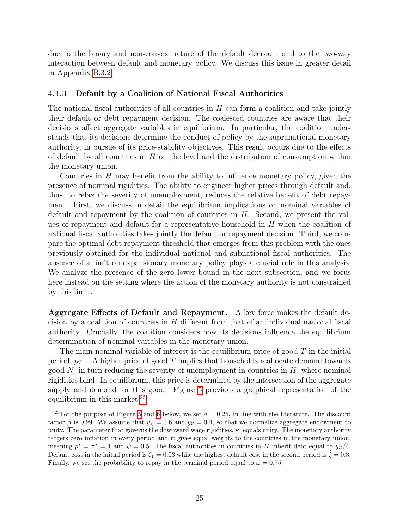due to the binary and non-convex nature of the default decision, and to the two-way interaction between default and monetary policy. We discuss this issue in greater detail in Appendix [B.3.2.](#page-47-0)

#### <span id="page-25-1"></span>4.1.3 Default by a Coalition of National Fiscal Authorities

The national fiscal authorities of all countries in H can form a coalition and take jointly their default or debt repayment decision. The coalesced countries are aware that their decisions affect aggregate variables in equilibrium. In particular, the coalition understands that its decisions determine the conduct of policy by the supranational monetary authority, in pursue of its price-stability objectives. This result occurs due to the effects of default by all countries in  $H$  on the level and the distribution of consumption within the monetary union.

Countries in  $H$  may benefit from the ability to influence monetary policy, given the presence of nominal rigidities. The ability to engineer higher prices through default and, thus, to relax the severity of unemployment, reduces the relative benefit of debt repayment. First, we discuss in detail the equilibrium implications on nominal variables of default and repayment by the coalition of countries in  $H$ . Second, we present the values of repayment and default for a representative household in  $H$  when the coalition of national fiscal authorities takes jointly the default or repayment decision. Third, we compare the optimal debt repayment threshold that emerges from this problem with the ones previously obtained for the individual national and subnational fiscal authorities. The absence of a limit on expansionary monetary policy plays a crucial role in this analysis. We analyze the presence of the zero lower bound in the next subsection, and we focus here instead on the setting where the action of the monetary authority is not constrained by this limit.

Aggregate Effects of Default and Repayment. A key force makes the default decision by a coalition of countries in  $H$  different from that of an individual national fiscal authority. Crucially, the coalition considers how its decisions influence the equilibrium determination of nominal variables in the monetary union.

The main nominal variable of interest is the equilibrium price of good  $T$  in the initial period,  $p_{T,1}$ . A higher price of good T implies that households reallocate demand towards good  $N$ , in turn reducing the severity of unemployment in countries in  $H$ , where nominal rigidities bind. In equilibrium, this price is determined by the intersection of the aggregate supply and demand for this good. Figure [5](#page-26-0) provides a graphical representation of the equilibrium in this market.<sup>[25](#page-25-0)</sup>

<span id="page-25-0"></span><sup>&</sup>lt;sup>25</sup>For the purpose of Figure [5](#page-26-0) and [6](#page-32-0) below, we set  $a = 0.25$ , in line with the literature. The discount factor  $\beta$  is 0.99. We assume that  $y_{\tilde{p}} = 0.6$  and  $y_{\tilde{p}} = 0.4$ , so that we normalize aggregate endowment to unity. The parameter that governs the downward wage rigidities,  $\kappa$ , equals unity. The monetary authority targets zero inflation in every period and it gives equal weights to the countries in the monetary union, meaning  $p^* = \pi^* = 1$  and  $\psi = 0.5$ . The fiscal authorities in countries in H inherit debt equal to  $y_{\mathcal{L}}/4$ . Default cost in the initial period is  $\zeta_1 = 0.03$  while the highest default cost in the second period is  $\hat{\zeta} = 0.3$ . Finally, we set the probability to repay in the terminal period equal to  $\omega = 0.75$ .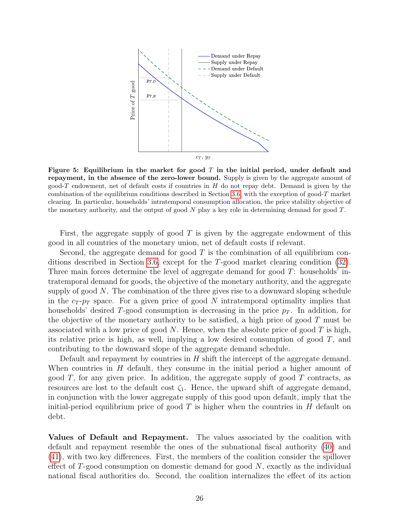<span id="page-26-0"></span>

Figure 5: Equilibrium in the market for good  $T$  in the initial period, under default and repayment, in the absence of the zero-lower bound. Supply is given by the aggregate amount of good-T endowment, net of default costs if countries in  $H$  do not repay debt. Demand is given by the combination of the equilibrium conditions described in Section [3.6,](#page-15-9) with the exception of good-T market clearing. In particular, households' intratemporal consumption allocation, the price stability objective of the monetary authority, and the output of good  $N$  play a key role in determining demnad for good  $T$ .

First, the aggregate supply of good  $T$  is given by the aggregate endowment of this good in all countries of the monetary union, net of default costs if relevant.

Second, the aggregate demand for good  $T$  is the combination of all equilibrium conditions described in Section [3.6,](#page-15-9) except for the T-good market clearing condition [\(32\)](#page-15-4). Three main forces determine the level of aggregate demand for good T: households' intratemporal demand for goods, the objective of the monetary authority, and the aggregate supply of good  $N$ . The combination of the three gives rise to a downward sloping schedule in the  $c_T$ - $p_T$  space. For a given price of good N intratemporal optimality implies that households' desired T-good consumption is decreasing in the price  $p<sub>T</sub>$ . In addition, for the objective of the monetary authority to be satisfied, a high price of good  $T$  must be associated with a low price of good  $N$ . Hence, when the absolute price of good  $T$  is high, its relative price is high, as well, implying a low desired consumption of good T, and contributing to the downward slope of the aggregate demand schedule.

Default and repayment by countries in  $H$  shift the intercept of the aggregate demand. When countries in  $H$  default, they consume in the initial period a higher amount of good  $T$ , for any given price. In addition, the aggregate supply of good  $T$  contracts, as resources are lost to the default cost  $\zeta_1$ . Hence, the upward shift of aggregate demand, in conjunction with the lower aggregate supply of this good upon default, imply that the initial-period equilibrium price of good  $T$  is higher when the countries in  $H$  default on debt.

Values of Default and Repayment. The values associated by the coalition with default and repayment resemble the ones of the subnational fiscal authority [\(40\)](#page-18-2) and [\(41\)](#page-18-3), with two key differences. First, the members of the coalition consider the spillover effect of  $T$ -good consumption on domestic demand for good  $N$ , exactly as the individual national fiscal authorities do. Second, the coalition internalizes the effect of its action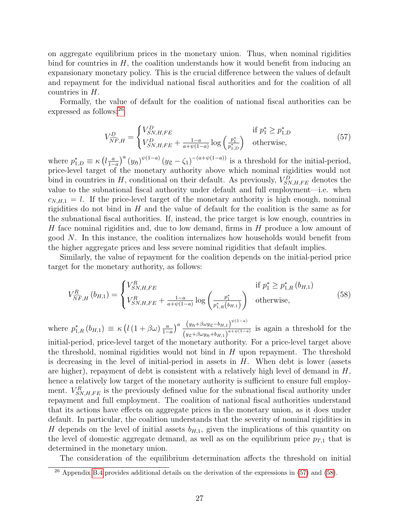on aggregate equilibrium prices in the monetary union. Thus, when nominal rigidities bind for countries in  $H$ , the coalition understands how it would benefit from inducing an expansionary monetary policy. This is the crucial difference between the values of default and repayment for the individual national fiscal authorities and for the coalition of all countries in H.

Formally, the value of default for the coalition of national fiscal authorities can be expressed as follows:<sup>[26](#page-27-0)</sup>

<span id="page-27-1"></span>
$$
V_{\widehat{NF},H}^{D} = \begin{cases} V_{SN,H,FE}^{D} & \text{if } p_1^* \ge p_{1,D}^* \\ V_{SN,H,FE}^{D} + \frac{1-a}{a+\psi(1-a)} \log \left( \frac{p_1^*}{p_{1,D}^*} \right) & \text{otherwise,} \end{cases}
$$
(57)

where  $p_{1,D}^* \equiv \kappa \left( l \frac{a}{1-\alpha} \right)$  $\frac{a}{1-a}$ <sup>a</sup> $(y_5)^{\psi(1-a)}(y_5-\zeta_1)^{-(a+\psi(1-a))}$  is a threshold for the initial-period, price-level target of the monetary authority above which nominal rigidities would not bind in countries in H, conditional on their default. As previously,  $V_{SN,H,FE}^D$  denotes the value to the subnational fiscal authority under default and full employment—i.e. when  $c_{N,H,1} = l$ . If the price-level target of the monetary authority is high enough, nominal rigidities do not bind in  $H$  and the value of default for the coalition is the same as for the subnational fiscal authorities. If, instead, the price target is low enough, countries in H face nominal rigidities and, due to low demand, firms in H produce a low amount of good  $N$ . In this instance, the coalition internalizes how households would benefit from the higher aggregate prices and less severe nominal rigidities that default implies.

Similarly, the value of repayment for the coalition depends on the initial-period price target for the monetary authority, as follows:

<span id="page-27-2"></span>
$$
V_{\widehat{N}F,H}^{R} (b_{H,1}) = \begin{cases} V_{SN,H,FE}^{R} & \text{if } p_1^* \ge p_{1,R}^* (b_{H,1}) \\ V_{SN,H,FE}^{R} + \frac{1-a}{a+\psi(1-a)} \log \left( \frac{p_1^*}{p_{1,R}^* (b_{H,1})} \right) & \text{otherwise,} \end{cases}
$$
(58)

where  $p_{1,R}^*(b_{H,1}) \equiv \kappa \left( l \left(1 + \beta \omega \right) \frac{a}{1 - a} \right)$  $\frac{a}{1-a}$ )<sup>a</sup>  $\frac{(y_{5}+\beta\omega y_{5}-b_{H,1})^{\psi(1-a)}}{(y_{5}+\beta\omega y_{5}+b_{H,1})^{a+\psi(1-a)}}$  $\frac{(y_{\beta}+\beta\omega y_{\beta}-b_{H,1})}{(y_{\beta}+\beta\omega y_{\beta}+b_{H,1})^{a+\psi(1-a)}}$  is again a threshold for the

initial-period, price-level target of the monetary authority. For a price-level target above the threshold, nominal rigidities would not bind in  $H$  upon repayment. The threshold is decreasing in the level of initial-period in assets in  $H$ . When debt is lower (assets are higher), repayment of debt is consistent with a relatively high level of demand in  $H$ , hence a relatively low target of the monetary authority is sufficient to ensure full employment.  $V_{SN,H,FE}^{R}$  is the previously defined value for the subnational fiscal authority under repayment and full employment. The coalition of national fiscal authorities understand that its actions have effects on aggregate prices in the monetary union, as it does under default. In particular, the coalition understands that the severity of nominal rigidities in H depends on the level of initial assets  $b_{H,1}$ , given the implications of this quantity on the level of domestic aggregate demand, as well as on the equilibrium price  $p_{T,1}$  that is determined in the monetary union.

The consideration of the equilibrium determination affects the threshold on initial

<span id="page-27-0"></span> $^{26}$  Appendix [B.4](#page-48-0) provides additional details on the derivation of the expressions in [\(57\)](#page-27-1) and [\(58\)](#page-27-2).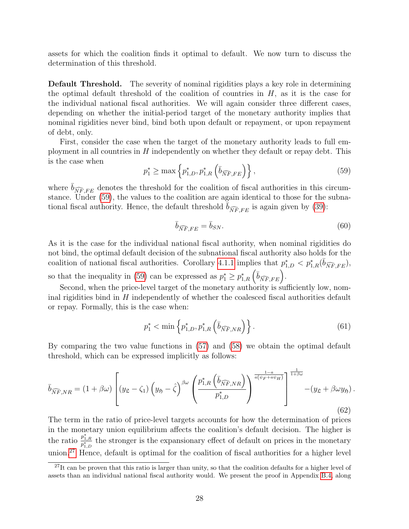assets for which the coalition finds it optimal to default. We now turn to discuss the determination of this threshold.

Default Threshold. The severity of nominal rigidities plays a key role in determining the optimal default threshold of the coalition of countries in  $H$ , as it is the case for the individual national fiscal authorities. We will again consider three different cases, depending on whether the initial-period target of the monetary authority implies that nominal rigidities never bind, bind both upon default or repayment, or upon repayment of debt, only.

First, consider the case when the target of the monetary authority leads to full employment in all countries in  $H$  independently on whether they default or repay debt. This is the case when

<span id="page-28-0"></span>
$$
p_1^* \ge \max\left\{p_{1,D}^*, p_{1,R}^*\left(\overline{b}_{\widehat{NF},FE}\right)\right\},\tag{59}
$$

where  $\bar{b}_{\widehat{N}F,FE}$  denotes the threshold for the coalition of fiscal authorities in this circumstance. Under [\(59\)](#page-28-0), the values to the coalition are again identical to those for the subnational fiscal authority. Hence, the default threshold  $\overline{b}_{\widehat{N}F,FE}$  is again given by [\(39\)](#page-17-2):

$$
\bar{b}_{\widehat{NF},FE} = \bar{b}_{SN}.\tag{60}
$$

As it is the case for the individual national fiscal authority, when nominal rigidities do not bind, the optimal default decision of the subnational fiscal authority also holds for the coalition of national fiscal authorities. Corollary [4.1.1](#page-18-1) implies that  $p_{1,D}^* < p_{1,R}^*(\bar{b}_{\widehat{NF},FE}),$ so that the inequality in [\(59\)](#page-28-0) can be expressed as  $p_1^* \geq p_{1,R}^* \left( \bar{b}_{\widehat{NF},FE} \right)$ .

Second, when the price-level target of the monetary authority is sufficiently low, nominal rigidities bind in  $H$  independently of whether the coalesced fiscal authorities default or repay. Formally, this is the case when:

<span id="page-28-2"></span>
$$
p_1^* < \min\left\{ p_{1,D}^*, p_{1,R}^* \left( \bar{b}_{\widehat{NF},NR} \right) \right\}. \tag{61}
$$

By comparing the two value functions in [\(57\)](#page-27-1) and [\(58\)](#page-27-2) we obtain the optimal default threshold, which can be expressed implicitly as follows:

<span id="page-28-3"></span>
$$
\bar{b}_{\widehat{NF},NR} = (1 + \beta\omega) \left[ (y_{\mathfrak{L}} - \zeta_1) \left( y_{\mathfrak{H}} - \hat{\zeta} \right)^{\beta\omega} \left( \frac{p_{1,R}^* \left( \bar{b}_{\widehat{NF},NR} \right)}{p_{1,D}^*} \right)^{\frac{1-a}{a(\psi_F + a\psi_H)}} \right]_{\qquad (y_{\mathfrak{L}} + \beta\omega y_{\mathfrak{H}}). \tag{62}
$$

The term in the ratio of price-level targets accounts for how the determination of prices in the monetary union equilibrium affects the coalition's default decision. The higher is the ratio  $\frac{p_{1,R}^*}{p_{1,D}^*}$  the stronger is the expansionary effect of default on prices in the monetary union.<sup>[27](#page-28-1)</sup> Hence, default is optimal for the coalition of fiscal authorities for a higher level

<span id="page-28-1"></span> $^{27}$ It can be proven that this ratio is larger than unity, so that the coalition defaults for a higher level of assets than an individual national fiscal authority would. We present the proof in Appendix [B.4,](#page-48-0) along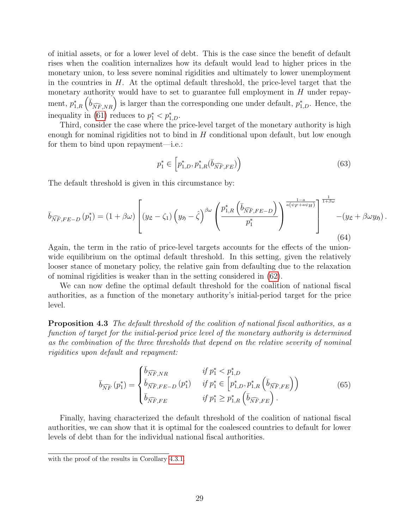of initial assets, or for a lower level of debt. This is the case since the benefit of default rises when the coalition internalizes how its default would lead to higher prices in the monetary union, to less severe nominal rigidities and ultimately to lower unemployment in the countries in  $H$ . At the optimal default threshold, the price-level target that the monetary authority would have to set to guarantee full employment in  $H$  under repayment,  $p_{1,R}^* \left( \bar{b}_{\widehat{NF},NR} \right)$  is larger than the corresponding one under default,  $p_{1,D}^*$ . Hence, the inequality in [\(61\)](#page-28-2) reduces to  $p_1^* < p_{1,D}^*$ .

Third, consider the case where the price-level target of the monetary authority is high enough for nominal rigidities not to bind in  $H$  conditional upon default, but low enough for them to bind upon repayment—i.e.:

$$
p_1^* \in \left[ p_{1,D}^*, p_{1,R}^*(\bar{b}_{\widehat{NF},FE}) \right) \tag{63}
$$

The default threshold is given in this circumstance by:

<span id="page-29-2"></span>
$$
\bar{b}_{\widehat{NF},FE-D} (p_1^*) = (1 + \beta \omega) \left[ (y_{\mathfrak{L}} - \zeta_1) \left( y_{\mathfrak{H}} - \hat{\zeta} \right)^{\beta \omega} \left( \frac{p_{1,R}^* \left( \bar{b}_{\widehat{NF},FE-D} \right)}{p_1^*} \right)^{\frac{1-a}{a(\psi_F + a\psi_H)}} \right]_{\qquad (g_{\mathfrak{L}} + \beta \omega y_{\mathfrak{H}}). \tag{64}
$$

Again, the term in the ratio of price-level targets accounts for the effects of the unionwide equilibrium on the optimal default threshold. In this setting, given the relatively looser stance of monetary policy, the relative gain from defaulting due to the relaxation of nominal rigidities is weaker than in the setting considered in [\(62\)](#page-28-3).

We can now define the optimal default threshold for the coalition of national fiscal authorities, as a function of the monetary authority's initial-period target for the price level.

Proposition 4.3 The default threshold of the coalition of national fiscal authorities, as a function of target for the initial-period price level of the monetary authority is determined as the combination of the three thresholds that depend on the relative severity of nominal rigidities upon default and repayment:

<span id="page-29-1"></span>
$$
\bar{b}_{\widehat{NF}}(p_1^*) = \begin{cases} \bar{b}_{\widehat{NF}, NR} & \text{if } p_1^* < p_{1,D}^* \\ \bar{b}_{\widehat{NF}, FE-D}(p_1^*) & \text{if } p_1^* \in \left[ p_{1,D}^*, p_{1,R}^* \left( \bar{b}_{\widehat{NF}, FE} \right) \right) \\ \bar{b}_{\widehat{NF}, FE} & \text{if } p_1^* \ge p_{1,R}^* \left( \bar{b}_{\widehat{NF}, FE} \right). \end{cases} \tag{65}
$$

Finally, having characterized the default threshold of the coalition of national fiscal authorities, we can show that it is optimal for the coalesced countries to default for lower levels of debt than for the individual national fiscal authorities.

<span id="page-29-0"></span>with the proof of the results in Corollary [4.3.1.](#page-29-0)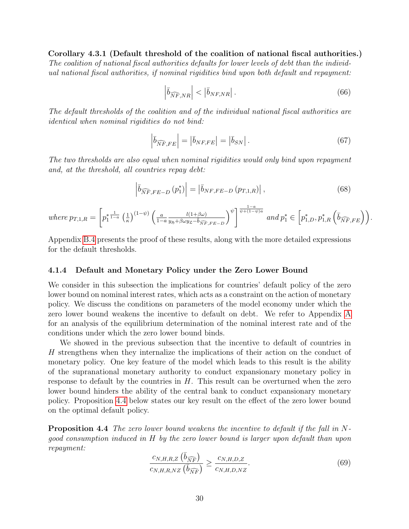Corollary 4.3.1 (Default threshold of the coalition of national fiscal authorities.) The coalition of national fiscal authorities defaults for lower levels of debt than the individual national fiscal authorities, if nominal rigidities bind upon both default and repayment:

$$
\left| \bar{b}_{\widehat{NF},NR} \right| < \left| \bar{b}_{NF,NR} \right| \,. \tag{66}
$$

The default thresholds of the coalition and of the individual national fiscal authorities are identical when nominal rigidities do not bind:

$$
\left| \bar{b}_{\widehat{NF},FE} \right| = \left| \bar{b}_{NF,FE} \right| = \left| \bar{b}_{SN} \right|.
$$
 (67)

The two thresholds are also equal when nominal rigidities would only bind upon repayment and, at the threshold, all countries repay debt:

$$
\left| \overline{b}_{\widehat{N}\widehat{F},FE-D} \left( p_1^* \right) \right| = \left| \overline{b}_{NF,FE-D} \left( p_{T,1,R} \right) \right|, \tag{68}
$$

where  $p_{T,1,R} =$  $\sqrt{ }$  $p_1^*$  $rac{1}{1-a}$   $\left(\frac{1}{a}\right)$  $\left(\frac{1}{\kappa}\right)^{(1-\psi)}\left(\frac{a}{1-a}\right)$  $1-a$  $\frac{l(1+\beta\omega)}{y_{\mathfrak{H}}+\beta\omega y_{\mathfrak{L}}-\overline{b}_{\widehat{NF},FE-D}}$  $\left[\gamma\right]^{\psi\left[\frac{1-a}{\psi+(1-\psi)a}\right.} and p_1^*\in\left[p_{1,D}^*,p_{1,R}^*\left(\bar{b}_{\widehat{NF},FE}\right)\right).$ 

Appendix [B.4](#page-48-0) presents the proof of these results, along with the more detailed expressions for the default thresholds.

#### <span id="page-30-2"></span>4.1.4 Default and Monetary Policy under the Zero Lower Bound

We consider in this subsection the implications for countries' default policy of the zero lower bound on nominal interest rates, which acts as a constraint on the action of monetary policy. We discuss the conditions on parameters of the model economy under which the zero lower bound weakens the incentive to default on debt. We refer to Appendix [A](#page-38-3) for an analysis of the equilibrium determination of the nominal interest rate and of the conditions under which the zero lower bound binds.

We showed in the previous subsection that the incentive to default of countries in H strengthens when they internalize the implications of their action on the conduct of monetary policy. One key feature of the model which leads to this result is the ability of the supranational monetary authority to conduct expansionary monetary policy in response to default by the countries in  $H$ . This result can be overturned when the zero lower bound hinders the ability of the central bank to conduct expansionary monetary policy. Proposition [4.4](#page-30-0) below states our key result on the effect of the zero lower bound on the optimal default policy.

<span id="page-30-0"></span>**Proposition 4.4** The zero lower bound weakens the incentive to default if the fall in Ngood consumption induced in H by the zero lower bound is larger upon default than upon repayment:

<span id="page-30-1"></span>
$$
\frac{c_{N,H,R,Z}(\bar{b}_{\widehat{NF}})}{c_{N,H,R,NZ}(\bar{b}_{\widehat{NF}})} \ge \frac{c_{N,H,D,Z}}{c_{N,H,D,NZ}}.\tag{69}
$$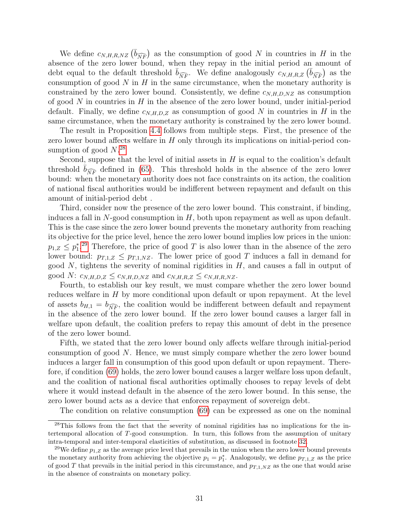We define  $c_{N,H,R,NZ}$   $(\bar{b}_{\widehat{NF}})$  as the consumption of good N in countries in H in the absence of the zero lower bound, when they repay in the initial period an amount of debt equal to the default threshold  $\bar{b}_{\widehat{NF}}$ . We define analogously  $c_{N,H,R,Z}$   $(\bar{b}_{\widehat{NF}})$  as the consumption of good  $N$  in  $H$  in the same circumstance, when the monetary authority is constrained by the zero lower bound. Consistently, we define  $c_{N,H,D,NZ}$  as consumption of good  $N$  in countries in  $H$  in the absence of the zero lower bound, under initial-period default. Finally, we define  $c_{N,H,D,Z}$  as consumption of good N in countries in H in the same circumstance, when the monetary authority is constrained by the zero lower bound.

The result in Proposition [4.4](#page-30-0) follows from multiple steps. First, the presence of the zero lower bound affects welfare in  $H$  only through its implications on initial-period consumption of good  $N^{28}$  $N^{28}$  $N^{28}$ 

Second, suppose that the level of initial assets in  $H$  is equal to the coalition's default threshold  $b_{\widehat{NF}}$  defined in [\(65\)](#page-29-1). This threshold holds in the absence of the zero lower bound: when the monetary authority does not face constraints on its action, the coalition of national fiscal authorities would be indifferent between repayment and default on this amount of initial-period debt .

Third, consider now the presence of the zero lower bound. This constraint, if binding, induces a fall in  $N$ -good consumption in  $H$ , both upon repayment as well as upon default. This is the case since the zero lower bound prevents the monetary authority from reaching its objective for the price level, hence the zero lower bound implies low prices in the union:  $p_{1,Z} \leq p_1^*$ <sup>[29](#page-31-1)</sup> Therefore, the price of good T is also lower than in the absence of the zero lower bound:  $p_{T,1,Z} \leq p_{T,1,NZ}$ . The lower price of good T induces a fall in demand for good  $N$ , tightens the severity of nominal rigidities in  $H$ , and causes a fall in output of good N:  $c_{N,H,D,Z} \leq c_{N,H,D,NZ}$  and  $c_{N,H,R,Z} \leq c_{N,H,R,NZ}$ .

Fourth, to establish our key result, we must compare whether the zero lower bound reduces welfare in  $H$  by more conditional upon default or upon repayment. At the level of assets  $b_{H,1} = b_{\widehat{NE}}$ , the coalition would be indifferent between default and repayment in the absence of the zero lower bound. If the zero lower bound causes a larger fall in welfare upon default, the coalition prefers to repay this amount of debt in the presence of the zero lower bound.

Fifth, we stated that the zero lower bound only affects welfare through initial-period consumption of good  $N$ . Hence, we must simply compare whether the zero lower bound induces a larger fall in consumption of this good upon default or upon repayment. Therefore, if condition [\(69\)](#page-30-1) holds, the zero lower bound causes a larger welfare loss upon default, and the coalition of national fiscal authorities optimally chooses to repay levels of debt where it would instead default in the absence of the zero lower bound. In this sense, the zero lower bound acts as a device that enforces repayment of sovereign debt.

<span id="page-31-0"></span>The condition on relative consumption [\(69\)](#page-30-1) can be expressed as one on the nominal

<sup>&</sup>lt;sup>28</sup>This follows from the fact that the severity of nominal rigidities has no implications for the intertemporal allocation of T-good consumption. In turn, this follows from the assumption of unitary intra-temporal and inter-temporal elasticities of substitution, as discussed in footnote [32.](#page-34-0)

<span id="page-31-1"></span><sup>&</sup>lt;sup>29</sup>We define  $p_{1,Z}$  as the average price level that prevails in the union when the zero lower bound prevents the monetary authority from achieving the objective  $p_1 = p_1^*$ . Analogously, we define  $p_{T,1,Z}$  as the price of good T that prevails in the initial period in this circumstance, and  $p_{T,1,NZ}$  as the one that would arise in the absence of constraints on monetary policy.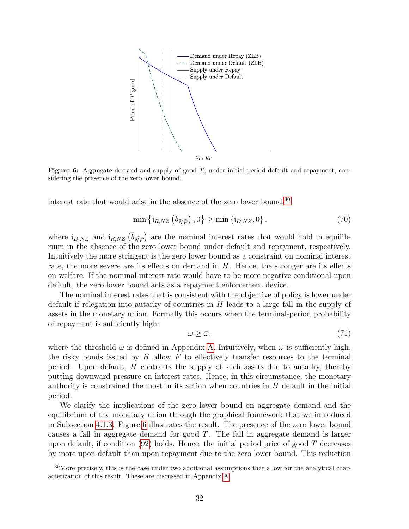<span id="page-32-0"></span>

**Figure 6:** Aggregate demand and supply of good  $T$ , under initial-period default and repayment, considering the presence of the zero lower bound.

interest rate that would arise in the absence of the zero lower bound:<sup>[30](#page-32-1)</sup>

$$
\min\left\{\mathbf{i}_{R,NZ}\left(\overline{b}_{\widehat{NF}}\right),0\right\} \ge \min\left\{\mathbf{i}_{D,NZ},0\right\}.\tag{70}
$$

where  $i_{D,NZ}$  and  $i_{R,NZ}$  ( $\overline{b}_{\widehat{NF}}$ ) are the nominal interest rates that would hold in equilibrium in the absence of the zero lower bound under default and repayment, respectively. Intuitively the more stringent is the zero lower bound as a constraint on nominal interest rate, the more severe are its effects on demand in H. Hence, the stronger are its effects on welfare. If the nominal interest rate would have to be more negative conditional upon default, the zero lower bound acts as a repayment enforcement device.

The nominal interest rates that is consistent with the objective of policy is lower under default if relegation into autarky of countries in H leads to a large fall in the supply of assets in the monetary union. Formally this occurs when the terminal-period probability of repayment is sufficiently high:

$$
\omega \ge \bar{\omega},\tag{71}
$$

where the threshold  $\omega$  is defined in Appendix [A.](#page-38-3) Intuitively, when  $\omega$  is sufficiently high, the risky bonds issued by  $H$  allow  $F$  to effectively transfer resources to the terminal period. Upon default, H contracts the supply of such assets due to autarky, thereby putting downward pressure on interest rates. Hence, in this circumstance, the monetary authority is constrained the most in its action when countries in  $H$  default in the initial period.

We clarify the implications of the zero lower bound on aggregate demand and the equilibrium of the monetary union through the graphical framework that we introduced in Subsection [4.1.3.](#page-25-1) Figure [6](#page-32-0) illustrates the result. The presence of the zero lower bound causes a fall in aggregate demand for good T. The fall in aggregate demand is larger upon default, if condition  $(92)$  holds. Hence, the initial period price of good T decreases by more upon default than upon repayment due to the zero lower bound. This reduction

<span id="page-32-1"></span><sup>&</sup>lt;sup>30</sup>More precisely, this is the case under two additional assumptions that allow for the analytical characterization of this result. These are discussed in Appendix [A.](#page-38-3)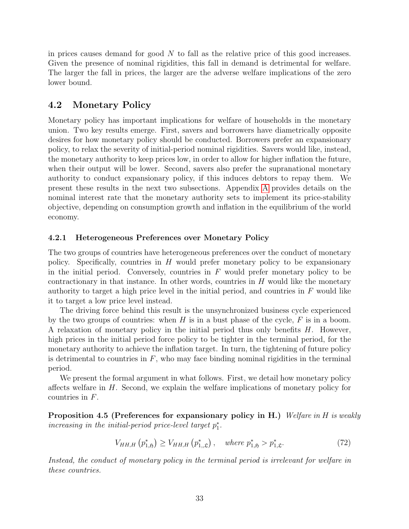in prices causes demand for good  $N$  to fall as the relative price of this good increases. Given the presence of nominal rigidities, this fall in demand is detrimental for welfare. The larger the fall in prices, the larger are the adverse welfare implications of the zero lower bound.

### 4.2 Monetary Policy

Monetary policy has important implications for welfare of households in the monetary union. Two key results emerge. First, savers and borrowers have diametrically opposite desires for how monetary policy should be conducted. Borrowers prefer an expansionary policy, to relax the severity of initial-period nominal rigidities. Savers would like, instead, the monetary authority to keep prices low, in order to allow for higher inflation the future, when their output will be lower. Second, savers also prefer the supranational monetary authority to conduct expansionary policy, if this induces debtors to repay them. We present these results in the next two subsections. Appendix [A](#page-38-3) provides details on the nominal interest rate that the monetary authority sets to implement its price-stability objective, depending on consumption growth and inflation in the equilibrium of the world economy.

#### 4.2.1 Heterogeneous Preferences over Monetary Policy

The two groups of countries have heterogeneous preferences over the conduct of monetary policy. Specifically, countries in  $H$  would prefer monetary policy to be expansionary in the initial period. Conversely, countries in  $F$  would prefer monetary policy to be contractionary in that instance. In other words, countries in  $H$  would like the monetary authority to target a high price level in the initial period, and countries in  $F$  would like it to target a low price level instead.

The driving force behind this result is the unsynchronized business cycle experienced by the two groups of countries: when H is in a bust phase of the cycle,  $F$  is in a boom. A relaxation of monetary policy in the initial period thus only benefits H. However, high prices in the initial period force policy to be tighter in the terminal period, for the monetary authority to achieve the inflation target. In turn, the tightening of future policy is detrimental to countries in  $F$ , who may face binding nominal rigidities in the terminal period.

We present the formal argument in what follows. First, we detail how monetary policy affects welfare in  $H$ . Second, we explain the welfare implications of monetary policy for countries in F.

**Proposition 4.5 (Preferences for expansionary policy in H.)** Welfare in H is weakly increasing in the initial-period price-level target  $p_1^*$ .

<span id="page-33-0"></span>
$$
V_{HH,H}(p_{1,\mathfrak{H}}^{*}) \geq V_{HH,H}(p_{1,\mathfrak{L}}^{*}), \quad \text{where } p_{1,\mathfrak{H}}^{*} > p_{1,\mathfrak{L}}^{*}. \tag{72}
$$

Instead, the conduct of monetary policy in the terminal period is irrelevant for welfare in these countries.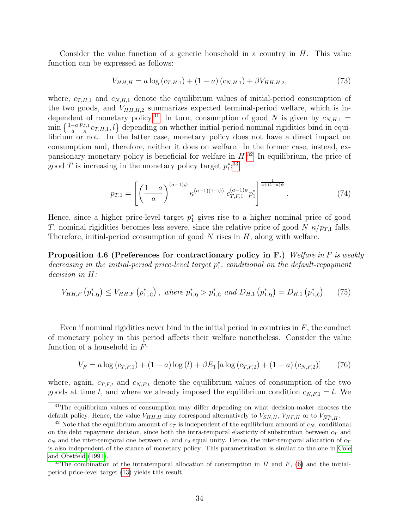Consider the value function of a generic household in a country in  $H$ . This value function can be expressed as follows:

$$
V_{HH,H} = a \log (c_{T,H,1}) + (1 - a) (c_{N,H,1}) + \beta V_{HH,H,2}, \tag{73}
$$

where,  $c_{T,H,1}$  and  $c_{N,H,1}$  denote the equilibrium values of initial-period consumption of the two goods, and  $V_{HH,H,2}$  summarizes expected terminal-period welfare, which is in-dependent of monetary policy.<sup>[31](#page-34-1)</sup> In turn, consumption of good N is given by  $c_{N,H,1}$  =  $\min\left\{\frac{1-a}{a}\right\}$  $p_{T,1}$  $\left\{\frac{T,1}{\kappa}c_{T,H,1}, l\right\}$  depending on whether initial-period nominal rigidities bind in equilibrium or not. In the latter case, monetary policy does not have a direct impact on consumption and, therefore, neither it does on welfare. In the former case, instead, expansionary monetary policy is beneficial for welfare in  $H^{32}$  $H^{32}$  $H^{32}$ . In equilibrium, the price of good T is increasing in the monetary policy target  $p_1^*$ <sup>[33](#page-34-2)</sup>

$$
p_{T,1} = \left[ \left( \frac{1-a}{a} \right)^{(a-1)\psi} \kappa^{(a-1)(1-\psi)} c_{T,F,1}^{(a-1)\psi} p_1^* \right]^{\frac{1}{a+(1-a)\psi}}.
$$
 (74)

Hence, since a higher price-level target  $p_1^*$  gives rise to a higher nominal price of good T, nominal rigidities becomes less severe, since the relative price of good N  $\kappa/p_{T,1}$  falls. Therefore, initial-period consumption of good  $N$  rises in  $H$ , along with welfare.

**Proposition 4.6 (Preferences for contractionary policy in F.)** Welfare in F is weakly decreasing in the initial-period price-level target  $p_1^*$ , conditional on the default-repayment decision in H:

$$
V_{HH,F}\left(p_{1,\mathfrak{H}}^{*}\right) \leq V_{HH,F}\left(p_{1,\mathfrak{L}}^{*}\right), \text{ where } p_{1,\mathfrak{H}}^{*} > p_{1,\mathfrak{L}}^{*} \text{ and } D_{H,1}\left(p_{1,\mathfrak{H}}^{*}\right) = D_{H,1}\left(p_{1,\mathfrak{L}}^{*}\right) \tag{75}
$$

Even if nominal rigidities never bind in the initial period in countries in  $F$ , the conduct of monetary policy in this period affects their welfare nonetheless. Consider the value function of a household in  $F$ :

$$
V_F = a \log (c_{T,F,1}) + (1 - a) \log (l) + \beta E_1 \left[ a \log (c_{T,F,2}) + (1 - a) (c_{N,F,2}) \right] \tag{76}
$$

where, again,  $c_{T,F,t}$  and  $c_{N,F,t}$  denote the equilibrium values of consumption of the two goods at time t, and where we already imposed the equilibrium condition  $c_{N,F,1} = l$ . We

<span id="page-34-1"></span><sup>31</sup>The equilibrium values of consumption may differ depending on what decision-maker chooses the default policy. Hence, the value  $V_{HH,H}$  may correspond alternatively to  $V_{SN,H}$ ,  $V_{NF,H}$  or to  $V_{\widehat{NE}H}$ .

<span id="page-34-0"></span><sup>&</sup>lt;sup>32</sup> Note that the equilibrium amount of  $c_T$  is independent of the equilibrium amount of  $c_N$ , conditional on the debt repayment decision, since both the intra-temporal elasticity of substitution between  $c_T$  and  $c_N$  and the inter-temporal one between  $c_1$  and  $c_2$  equal unity. Hence, the inter-temporal allocation of  $c_T$ is also independent of the stance of monetary policy. This parametrization is similar to the one in [Cole](#page-37-13) [and Obstfeld](#page-37-13) [\(1991\)](#page-37-13).

<span id="page-34-2"></span><sup>&</sup>lt;sup>33</sup>The combination of the intratemporal allocation of consumption in H and F,  $(6)$  and the initialperiod price-level target [\(13\)](#page-9-3) yields this result.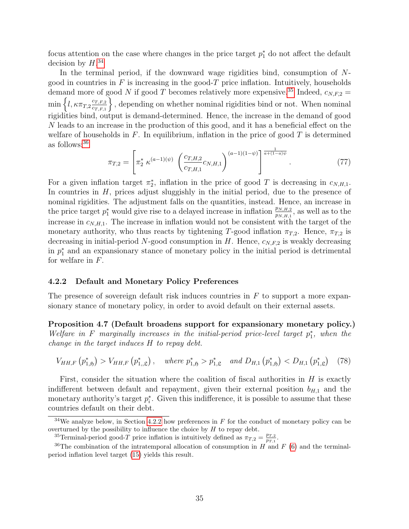focus attention on the case where changes in the price target  $p_1^*$  do not affect the default decision by  $H.^{34}$  $H.^{34}$  $H.^{34}$ 

In the terminal period, if the downward wage rigidities bind, consumption of Ngood in countries in  $F$  is increasing in the good- $T$  price inflation. Intuitively, households demand more of good N if good T becomes relatively more expensive.<sup>[35](#page-35-1)</sup> Indeed,  $c_{N,F,2}$  =  $\min\left\{l,\kappa\pi_{T,2}\frac{c_{T,F,2}}{c_{T,F,1}}\right\}$  $c_{T,F,1}$ \, depending on whether nominal rigidities bind or not. When nominal rigidities bind, output is demand-determined. Hence, the increase in the demand of good N leads to an increase in the production of this good, and it has a beneficial effect on the welfare of households in  $F$ . In equilibrium, inflation in the price of good  $T$  is determined as follows:[36](#page-35-2)

$$
\pi_{T,2} = \left[ \pi_2^* \kappa^{(a-1)(\psi)} \left( \frac{c_{T,H,2}}{c_{T,H,1}} c_{N,H,1} \right)^{(a-1)(1-\psi)} \right]^{\frac{1}{a+(1-a)\psi}}.
$$
\n(77)

For a given inflation target  $\pi_2^*$ , inflation in the price of good T is decreasing in  $c_{N,H,1}$ . In countries in  $H$ , prices adjust sluggishly in the initial period, due to the presence of nominal rigidities. The adjustment falls on the quantities, instead. Hence, an increase in the price target  $p_1^*$  would give rise to a delayed increase in inflation  $\frac{p_{N,H,2}}{p_{N,H,1}}$ , as well as to the increase in  $c_{N,H,1}$ . The increase in inflation would not be consistent with the target of the monetary authority, who thus reacts by tightening T-good inflation  $\pi_{T,2}$ . Hence,  $\pi_{T,2}$  is decreasing in initial-period N-good consumption in  $H$ . Hence,  $c_{N,F,2}$  is weakly decreasing in  $p_1^*$  and an expansionary stance of monetary policy in the initial period is detrimental for welfare in  $F$ .

#### <span id="page-35-3"></span>4.2.2 Default and Monetary Policy Preferences

The presence of sovereign default risk induces countries in  $F$  to support a more expansionary stance of monetary policy, in order to avoid default on their external assets.

Proposition 4.7 (Default broadens support for expansionary monetary policy.) Welfare in F marginally increases in the initial-period price-level target  $p_1^*$ , when the change in the target induces H to repay debt.

$$
V_{HH,F} (p_{1,\mathfrak{H}}^*) > V_{HH,F} (p_{1,\mathfrak{L}}^*) , \quad \text{where } p_{1,\mathfrak{H}}^* > p_{1,\mathfrak{L}}^* \quad \text{and } D_{H,1} (p_{1,\mathfrak{H}}^*) < D_{H,1} (p_{1,\mathfrak{L}}^*) \tag{78}
$$

First, consider the situation where the coalition of fiscal authorities in  $H$  is exactly indifferent between default and repayment, given their external position  $b_{H,1}$  and the monetary authority's target  $p_i^*$ . Given this indifference, it is possible to assume that these countries default on their debt.

<span id="page-35-0"></span><sup>&</sup>lt;sup>34</sup>We analyze below, in Section [4.2.2](#page-35-3) how preferences in F for the conduct of monetary policy can be overturned by the possibility to influence the choice by  $H$  to repay debt.

<span id="page-35-2"></span><span id="page-35-1"></span><sup>&</sup>lt;sup>35</sup>Terminal-period good-T price inflation is intuitively defined as  $\pi_{T,2} = \frac{p_{T,2}}{p_{T,1}}$  $\frac{p_{T,2}}{p_{T,1}}.$ 

<sup>&</sup>lt;sup>36</sup>The combination of the intratemporal allocation of consumption in H and F [\(6\)](#page-7-3) and the terminalperiod inflation level target [\(15\)](#page-9-4) yields this result.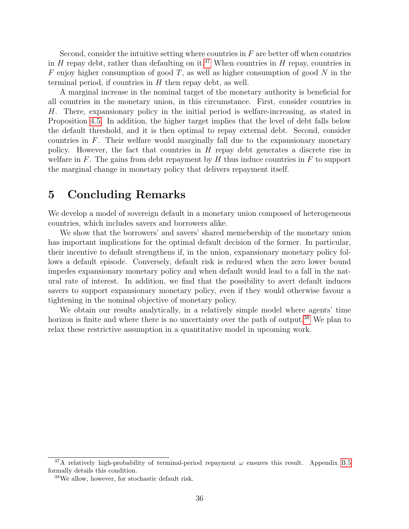Second, consider the intuitive setting where countries in  $F$  are better off when countries in H repay debt, rather than defaulting on it.<sup>[37](#page-36-0)</sup> When countries in H repay, countries in F enjoy higher consumption of good T, as well as higher consumption of good N in the terminal period, if countries in  $H$  then repay debt, as well.

A marginal increase in the nominal target of the monetary authority is beneficial for all countries in the monetary union, in this circumstance. First, consider countries in H. There, expansionary policy in the initial period is welfare-increasing, as stated in Proposition [4.5.](#page-33-0) In addition, the higher target implies that the level of debt falls below the default threshold, and it is then optimal to repay external debt. Second, consider countries in  $F$ . Their welfare would marginally fall due to the expansionary monetary policy. However, the fact that countries in H repay debt generates a discrete rise in welfare in F. The gains from debt repayment by  $H$  thus induce countries in  $F$  to support the marginal change in monetary policy that delivers repayment itself.

# 5 Concluding Remarks

We develop a model of sovereign default in a monetary union composed of heterogeneous countries, which includes savers and borrowers alike.

We show that the borrowers' and savers' shared memebership of the monetary union has important implications for the optimal default decision of the former. In particular, their incentive to default strengthens if, in the union, expansionary monetary policy follows a default episode. Conversely, default risk is reduced when the zero lower bound impedes expansionary monetary policy and when default would lead to a fall in the natural rate of interest. In addition, we find that the possibility to avert default induces savers to support expansionary monetary policy, even if they would otherwise favour a tightening in the nominal objective of monetary policy.

We obtain our results analytically, in a relatively simple model where agents' time horizon is finite and where there is no uncertainty over the path of output.<sup>[38](#page-36-1)</sup> We plan to relax these restrictive assumption in a quantitative model in upcoming work.

<span id="page-36-0"></span><sup>&</sup>lt;sup>37</sup>A relatively high-probability of terminal-period repayment  $\omega$  ensures this result. Appendix [B.5](#page-52-0) formally details this condition.

<span id="page-36-1"></span><sup>38</sup>We allow, however, for stochastic default risk.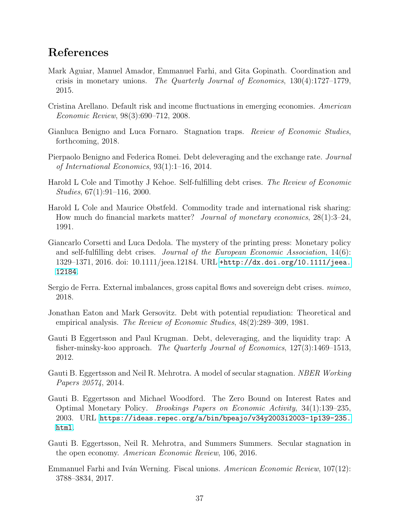# References

- <span id="page-37-11"></span>Mark Aguiar, Manuel Amador, Emmanuel Farhi, and Gita Gopinath. Coordination and crisis in monetary unions. The Quarterly Journal of Economics, 130(4):1727–1779, 2015.
- <span id="page-37-0"></span>Cristina Arellano. Default risk and income fluctuations in emerging economies. American Economic Review, 98(3):690–712, 2008.
- <span id="page-37-5"></span>Gianluca Benigno and Luca Fornaro. Stagnation traps. Review of Economic Studies, forthcoming, 2018.
- <span id="page-37-9"></span>Pierpaolo Benigno and Federica Romei. Debt deleveraging and the exchange rate. Journal of International Economics, 93(1):1–16, 2014.
- <span id="page-37-2"></span>Harold L Cole and Timothy J Kehoe. Self-fulfilling debt crises. The Review of Economic Studies, 67(1):91–116, 2000.
- <span id="page-37-13"></span>Harold L Cole and Maurice Obstfeld. Commodity trade and international risk sharing: How much do financial markets matter? Journal of monetary economics, 28(1):3–24, 1991.
- <span id="page-37-10"></span>Giancarlo Corsetti and Luca Dedola. The mystery of the printing press: Monetary policy and self-fulfilling debt crises. Journal of the European Economic Association, 14(6): 1329–1371, 2016. doi: 10.1111/jeea.12184. URL [+http://dx.doi.org/10.1111/jeea.](+ http://dx.doi.org/10.1111/jeea.12184) [12184](+ http://dx.doi.org/10.1111/jeea.12184).
- <span id="page-37-12"></span>Sergio de Ferra. External imbalances, gross capital flows and sovereign debt crises. mimeo, 2018.
- <span id="page-37-1"></span>Jonathan Eaton and Mark Gersovitz. Debt with potential repudiation: Theoretical and empirical analysis. The Review of Economic Studies, 48(2):289–309, 1981.
- <span id="page-37-4"></span>Gauti B Eggertsson and Paul Krugman. Debt, deleveraging, and the liquidity trap: A fisher-minsky-koo approach. The Quarterly Journal of Economics, 127(3):1469–1513, 2012.
- <span id="page-37-7"></span>Gauti B. Eggertsson and Neil R. Mehrotra. A model of secular stagnation. *NBER Working* Papers 20574, 2014.
- <span id="page-37-3"></span>Gauti B. Eggertsson and Michael Woodford. The Zero Bound on Interest Rates and Optimal Monetary Policy. Brookings Papers on Economic Activity, 34(1):139–235, 2003. URL [https://ideas.repec.org/a/bin/bpeajo/v34y2003i2003-1p139-235.](https://ideas.repec.org/a/bin/bpeajo/v34y2003i2003-1p139-235.html) [html](https://ideas.repec.org/a/bin/bpeajo/v34y2003i2003-1p139-235.html).
- <span id="page-37-6"></span>Gauti B. Eggertsson, Neil R. Mehrotra, and Summers Summers. Secular stagnation in the open economy. American Economic Review, 106, 2016.
- <span id="page-37-8"></span>Emmanuel Farhi and Iván Werning. Fiscal unions. American Economic Review, 107(12): 3788–3834, 2017.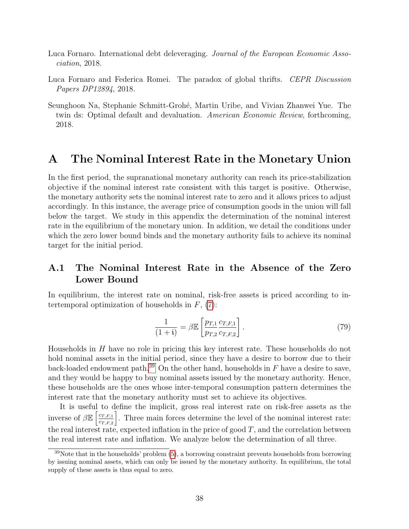- <span id="page-38-1"></span>Luca Fornaro. International debt deleveraging. Journal of the European Economic Association, 2018.
- <span id="page-38-2"></span>Luca Fornaro and Federica Romei. The paradox of global thrifts. CEPR Discussion Papers DP12894, 2018.
- <span id="page-38-0"></span>Seunghoon Na, Stephanie Schmitt-Groh´e, Martin Uribe, and Vivian Zhanwei Yue. The twin ds: Optimal default and devaluation. American Economic Review, forthcoming, 2018.

# <span id="page-38-3"></span>A The Nominal Interest Rate in the Monetary Union

In the first period, the supranational monetary authority can reach its price-stabilization objective if the nominal interest rate consistent with this target is positive. Otherwise, the monetary authority sets the nominal interest rate to zero and it allows prices to adjust accordingly. In this instance, the average price of consumption goods in the union will fall below the target. We study in this appendix the determination of the nominal interest rate in the equilibrium of the monetary union. In addition, we detail the conditions under which the zero lower bound binds and the monetary authority fails to achieve its nominal target for the initial period.

## A.1 The Nominal Interest Rate in the Absence of the Zero Lower Bound

In equilibrium, the interest rate on nominal, risk-free assets is priced according to intertemporal optimization of households in  $F$ ,  $(7)$ :

$$
\frac{1}{(1+i)} = \beta \mathbb{E} \left[ \frac{p_{T,1}}{p_{T,2}} \frac{c_{T,F,1}}{c_{T,F,2}} \right].
$$
\n(79)

Households in H have no role in pricing this key interest rate. These households do not hold nominal assets in the initial period, since they have a desire to borrow due to their back-loaded endowment path.<sup>[39](#page-38-4)</sup> On the other hand, households in  $F$  have a desire to save, and they would be happy to buy nominal assets issued by the monetary authority. Hence, these households are the ones whose inter-temporal consumption pattern determines the interest rate that the monetary authority must set to achieve its objectives.

It is useful to define the implicit, gross real interest rate on risk-free assets as the inverse of  $\beta \mathbb{E} \left[ \frac{c_{T,F,1}}{c_{T,F,2}} \right]$  $c_{T,F,2}$ . Three main forces determine the level of the nominal interest rate: the real interest rate, expected inflation in the price of good  $T$ , and the correlation between the real interest rate and inflation. We analyze below the determination of all three.

<span id="page-38-4"></span> $39$ Note that in the households' problem  $(5)$ , a borrowing constraint prevents households from borrowing by issuing nominal assets, which can only be issued by the monetary authority. In equilibrium, the total supply of these assets is thus equal to zero.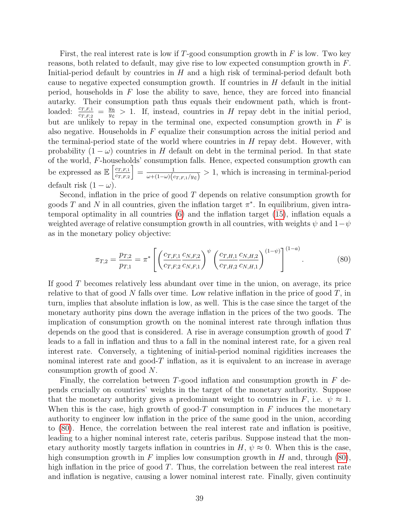First, the real interest rate is low if T-good consumption growth in  $F$  is low. Two key reasons, both related to default, may give rise to low expected consumption growth in F. Initial-period default by countries in  $H$  and a high risk of terminal-period default both cause to negative expected consumption growth. If countries in  $H$  default in the initial period, households in  $F$  lose the ability to save, hence, they are forced into financial autarky. Their consumption path thus equals their endowment path, which is frontloaded:  $\frac{c_{T,F,1}}{c_{T,F,2}} = \frac{y_{\mathfrak{H}}}{y_{\mathfrak{L}}}$  $\frac{y_5}{y_2} > 1$ . If, instead, countries in H repay debt in the initial period, but are unlikely to repay in the terminal one, expected consumption growth in  $F$  is also negative. Households in  $F$  equalize their consumption across the initial period and the terminal-period state of the world where countries in  $H$  repay debt. However, with probability  $(1 - \omega)$  countries in H default on debt in the terminal period. In that state of the world, F-households' consumption falls. Hence, expected consumption growth can be expressed as  $\mathbb{E}\left[\frac{c_{T,F,1}}{c_{T,F,2}}\right]$  $c_{T,F,2}$  $= \frac{1}{\cdots (1-\cdots)}$  $\frac{1}{\omega+(1-\omega)(c_{T,F,1}/y_{\mathfrak{L}})} > 1$ , which is increasing in terminal-period default risk  $(1 - \omega)$ .

Second, inflation in the price of good  $T$  depends on relative consumption growth for goods T and N in all countries, given the inflation target  $\pi^*$ . In equilibrium, given intratemporal optimality in all countries [\(6\)](#page-7-3) and the inflation target [\(15\)](#page-9-4), inflation equals a weighted average of relative consumption growth in all countries, with weights  $\psi$  and  $1-\psi$ as in the monetary policy objective:

<span id="page-39-0"></span>
$$
\pi_{T,2} = \frac{p_{T,2}}{p_{T,1}} = \pi^* \left[ \left( \frac{c_{T,F,1}}{c_{T,F,2}} \frac{c_{N,F,2}}{c_{N,F,1}} \right)^{\psi} \left( \frac{c_{T,H,1}}{c_{T,H,2}} \frac{c_{N,H,2}}{c_{N,H,1}} \right)^{(1-\psi)} \right]^{(1-a)}.
$$
(80)

If good T becomes relatively less abundant over time in the union, on average, its price relative to that of good  $N$  falls over time. Low relative inflation in the price of good  $T$ , in turn, implies that absolute inflation is low, as well. This is the case since the target of the monetary authority pins down the average inflation in the prices of the two goods. The implication of consumption growth on the nominal interest rate through inflation thus depends on the good that is considered. A rise in average consumption growth of good T leads to a fall in inflation and thus to a fall in the nominal interest rate, for a given real interest rate. Conversely, a tightening of initial-period nominal rigidities increases the nominal interest rate and good- $T$  inflation, as it is equivalent to an increase in average consumption growth of good N.

Finally, the correlation between T-good inflation and consumption growth in  $F$  depends crucially on countries' weights in the target of the monetary authority. Suppose that the monetary authority gives a predominant weight to countries in F, i.e.  $\psi \approx 1$ . When this is the case, high growth of good-T consumption in  $F$  induces the monetary authority to engineer low inflation in the price of the same good in the union, according to [\(80\)](#page-39-0). Hence, the correlation between the real interest rate and inflation is positive, leading to a higher nominal interest rate, ceteris paribus. Suppose instead that the monetary authority mostly targets inflation in countries in  $H, \psi \approx 0$ . When this is the case, high consumption growth in F implies low consumption growth in H and, through  $(80)$ , high inflation in the price of good  $T$ . Thus, the correlation between the real interest rate and inflation is negative, causing a lower nominal interest rate. Finally, given continuity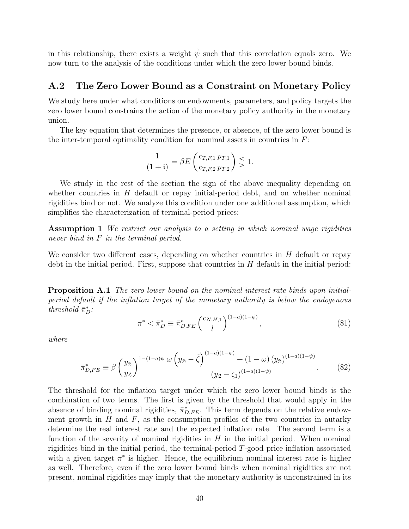in this relationship, there exists a weight  $\tilde{\psi}$  such that this correlation equals zero. We now turn to the analysis of the conditions under which the zero lower bound binds.

### A.2 The Zero Lower Bound as a Constraint on Monetary Policy

We study here under what conditions on endowments, parameters, and policy targets the zero lower bound constrains the action of the monetary policy authority in the monetary union.

The key equation that determines the presence, or absence, of the zero lower bound is the inter-temporal optimality condition for nominal assets in countries in  $F$ :

<span id="page-40-0"></span>
$$
\frac{1}{(1+i)} = \beta E \left( \frac{c_{T,F,1}}{c_{T,F,2}} \frac{p_{T,1}}{p_{T,2}} \right) \lesssim 1.
$$

We study in the rest of the section the sign of the above inequality depending on whether countries in  $H$  default or repay initial-period debt, and on whether nominal rigidities bind or not. We analyze this condition under one additional assumption, which simplifies the characterization of terminal-period prices:

Assumption 1 We restrict our analysis to a setting in which nominal wage rigidities never bind in F in the terminal period.

We consider two different cases, depending on whether countries in  $H$  default or repay debt in the initial period. First, suppose that countries in  $H$  default in the initial period:

Proposition A.1 The zero lower bound on the nominal interest rate binds upon initialperiod default if the inflation target of the monetary authority is below the endogenous threshold  $\bar{\pi}_D^*$ :

$$
\pi^* < \bar{\pi}_D^* \equiv \bar{\pi}_{D,FE}^* \left(\frac{c_{N,H,1}}{l}\right)^{(1-a)(1-\psi)},\tag{81}
$$

where

$$
\bar{\pi}_{D,FE}^* \equiv \beta \left(\frac{y_{\mathfrak{H}}}{y_{\mathfrak{L}}}\right)^{1-(1-a)\psi} \frac{\omega \left(y_{\mathfrak{H}} - \hat{\zeta}\right)^{(1-a)(1-\psi)} + (1-\omega) \left(y_{\mathfrak{H}}\right)^{(1-a)(1-\psi)}}{\left(y_{\mathfrak{L}} - \zeta_1\right)^{(1-a)(1-\psi)}}.
$$
(82)

The threshold for the inflation target under which the zero lower bound binds is the combination of two terms. The first is given by the threshold that would apply in the absence of binding nominal rigidities,  $\bar{\pi}_{D,FE}^*$ . This term depends on the relative endowment growth in  $H$  and  $F$ , as the consumption profiles of the two countries in autarky determine the real interest rate and the expected inflation rate. The second term is a function of the severity of nominal rigidities in  $H$  in the initial period. When nominal rigidities bind in the initial period, the terminal-period T-good price inflation associated with a given target  $\pi^*$  is higher. Hence, the equilibrium nominal interest rate is higher as well. Therefore, even if the zero lower bound binds when nominal rigidities are not present, nominal rigidities may imply that the monetary authority is unconstrained in its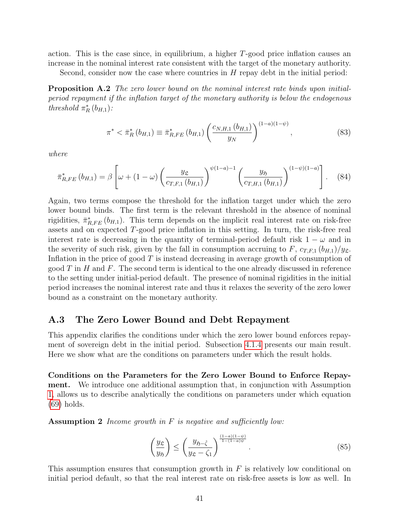action. This is the case since, in equilibrium, a higher T-good price inflation causes an increase in the nominal interest rate consistent with the target of the monetary authority.

Second, consider now the case where countries in  $H$  repay debt in the initial period:

**Proposition A.2** The zero lower bound on the nominal interest rate binds upon initialperiod repayment if the inflation target of the monetary authority is below the endogenous threshold  $\pi_R^*$  ( $b_{H,1}$ ):

$$
\pi^* < \bar{\pi}_R^* \left( b_{H,1} \right) \equiv \bar{\pi}_{R,FE}^* \left( b_{H,1} \right) \left( \frac{c_{N,H,1} \left( b_{H,1} \right)}{y_N} \right)^{(1-a)(1-\psi)},\tag{83}
$$

where

$$
\bar{\pi}_{R,FE}^*(b_{H,1}) = \beta \left[ \omega + (1 - \omega) \left( \frac{y_{\mathfrak{L}}}{c_{T,F,1}(b_{H,1})} \right)^{\psi(1-a)-1} \left( \frac{y_{\mathfrak{H}}}{c_{T,H,1}(b_{H,1})} \right)^{(1-\psi)(1-a)} \right]. \tag{84}
$$

Again, two terms compose the threshold for the inflation target under which the zero lower bound binds. The first term is the relevant threshold in the absence of nominal rigidities,  $\bar{\pi}_{R,FE}^*(b_{H,1})$ . This term depends on the implicit real interest rate on risk-free assets and on expected T-good price inflation in this setting. In turn, the risk-free real interest rate is decreasing in the quantity of terminal-period default risk  $1 - \omega$  and in the severity of such risk, given by the fall in consumption accruing to F,  $c_{T,F,1} (b_{H,1})/y_{\mathcal{L}}$ . Inflation in the price of good T is instead decreasing in average growth of consumption of good T in H and F. The second term is identical to the one already discussed in reference to the setting under initial-period default. The presence of nominal rigidities in the initial period increases the nominal interest rate and thus it relaxes the severity of the zero lower bound as a constraint on the monetary authority.

### A.3 The Zero Lower Bound and Debt Repayment

This appendix clarifies the conditions under which the zero lower bound enforces repayment of sovereign debt in the initial period. Subsection [4.1.4](#page-30-2) presents our main result. Here we show what are the conditions on parameters under which the result holds.

Conditions on the Parameters for the Zero Lower Bound to Enforce Repayment. We introduce one additional assumption that, in conjunction with Assumption [1,](#page-40-0) allows us to describe analytically the conditions on parameters under which equation [\(69\)](#page-30-1) holds.

**Assumption 2** Income growth in  $F$  is negative and sufficiently low:

$$
\left(\frac{y_{\mathfrak{L}}}{y_{\mathfrak{H}}}\right) \le \left(\frac{y_{\mathfrak{H}-\hat{\zeta}}}{y_{\mathfrak{L}}-\zeta_1}\right)^{\frac{(1-a)(1-\psi)}{1-(1-a)\psi}}.\tag{85}
$$

This assumption ensures that consumption growth in  $F$  is relatively low conditional on initial period default, so that the real interest rate on risk-free assets is low as well. In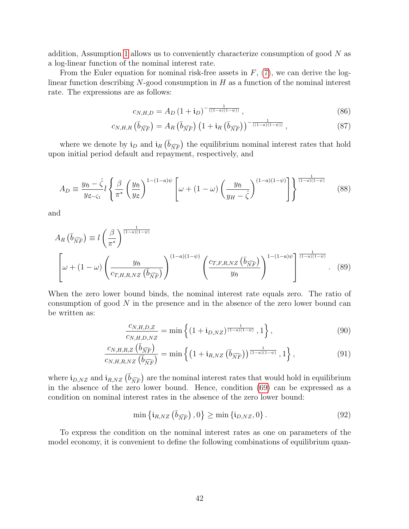addition, Assumption [1](#page-40-0) allows us to conveniently characterize consumption of good  $N$  as a log-linear function of the nominal interest rate.

From the Euler equation for nominal risk-free assets in  $F$ , [\(7\)](#page-8-1), we can derive the loglinear function describing  $N$ -good consumption in H as a function of the nominal interest rate. The expressions are as follows:

$$
c_{N,H,D} = A_D \left( 1 + \mathfrak{i}_D \right)^{-\frac{1}{((1-a)(1-\psi))}}, \tag{86}
$$

$$
c_{N,H,R}\left(\bar{b}_{\widehat{NF}}\right) = A_R\left(\bar{b}_{\widehat{NF}}\right) \left(1 + \mathfrak{i}_R\left(\bar{b}_{\widehat{NF}}\right)\right)^{-\frac{1}{\left(\left(1-a\right)\left(1-\psi\right)\right)}},\tag{87}
$$

where we denote by  $\mathbf{i}_D$  and  $\mathbf{i}_R$  ( $\overline{b}_{\widehat{NF}}$ ) the equilibrium nominal interest rates that hold upon initial period default and repayment, respectively, and

$$
A_D \equiv \frac{y_{\mathfrak{H}} - \hat{\zeta}}{y_{\mathfrak{L} - \zeta_1}} l \left\{ \frac{\beta}{\pi^*} \left( \frac{y_{\mathfrak{H}}}{y_{\mathfrak{L}}} \right)^{1 - (1 - a)\psi} \left[ \omega + (1 - \omega) \left( \frac{y_{\mathfrak{H}}}{y_H - \hat{\zeta}} \right)^{(1 - a)(1 - \psi)} \right] \right\}^{\frac{1}{(1 - a)(1 - \psi)}} \tag{88}
$$

and

$$
A_R\left(\bar{b}_{\widehat{NF}}\right) \equiv l\left(\frac{\beta}{\pi^*}\right)^{\frac{1}{(1-a)(1-\psi)}}
$$

$$
\left[\omega + (1-\omega)\left(\frac{y_{\mathfrak{H}}}{c_{T,H,R,NZ}\left(\bar{b}_{\widehat{NF}}\right)}\right)^{(1-a)(1-\psi)}\left(\frac{c_{T,F,R,NZ}\left(\bar{b}_{\widehat{NF}}\right)}{y_{\mathfrak{H}}}\right)^{1-(1-a)\psi}\right]^{\frac{1}{(1-a)(1-\psi)}}.
$$
(89)

When the zero lower bound binds, the nominal interest rate equals zero. The ratio of consumption of good  $N$  in the presence and in the absence of the zero lower bound can be written as:

$$
\frac{c_{N,H,D,Z}}{c_{N,H,D,NZ}} = \min\left\{ (1 + \mathbf{i}_{D,NZ})^{\frac{1}{(1-a)(1-\psi)}}, 1 \right\},\tag{90}
$$

$$
\frac{c_{N,H,R,Z}(\bar{b}_{\widehat{NF}})}{c_{N,H,R,NZ}(\bar{b}_{\widehat{NF}})} = \min\left\{ \left(1 + \mathfrak{i}_{R,NZ}(\bar{b}_{\widehat{NF}})\right)^{\frac{1}{(1-a)(1-\psi)}}, 1 \right\},\tag{91}
$$

where  $i_{D,NZ}$  and  $i_{R,NZ}$   $(\bar{b}_{\widehat{NF}})$  are the nominal interest rates that would hold in equilibrium in the absence of the zero lower bound. Hence, condition [\(69\)](#page-30-1) can be expressed as a condition on nominal interest rates in the absence of the zero lower bound:

<span id="page-42-0"></span>
$$
\min\left\{\mathfrak{i}_{R,NZ}\left(\overline{b}_{\widehat{NF}}\right),0\right\} \geq \min\left\{\mathfrak{i}_{D,NZ},0\right\}.\tag{92}
$$

To express the condition on the nominal interest rates as one on parameters of the model economy, it is convenient to define the following combinations of equilibrium quan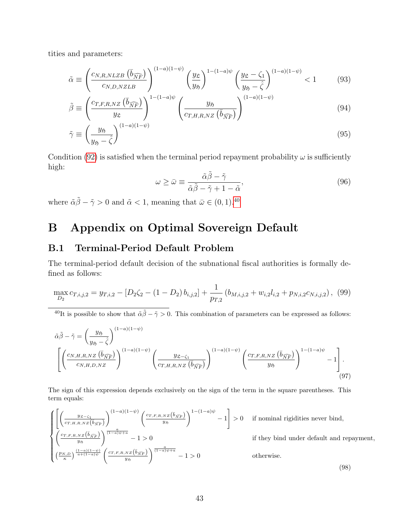tities and parameters:

$$
\tilde{\alpha} \equiv \left(\frac{c_{N,R,NLZB} \left(\bar{b}_{\widehat{NF}}\right)}{c_{N,D,NZLB}}\right)^{(1-a)(1-\psi)} \left(\frac{y_{\mathfrak{L}}}{y_{\mathfrak{H}}}\right)^{1-(1-a)\psi} \left(\frac{y_{\mathfrak{L}} - \zeta_1}{y_{\mathfrak{H}} - \hat{\zeta}}\right)^{(1-a)(1-\psi)} < 1\tag{93}
$$

$$
\tilde{\beta} \equiv \left(\frac{c_{T,F,R,NZ} \left(\bar{b}_{\widehat{NF}}\right)}{y_{\mathfrak{L}}}\right)^{1-(1-a)\psi} \left(\frac{y_{\mathfrak{H}}}{c_{T,H,R,NZ} \left(\bar{b}_{\widehat{NF}}\right)}\right)^{(1-a)(1-\psi)} \tag{94}
$$

$$
\tilde{\gamma} \equiv \left(\frac{y_{\mathfrak{H}}}{y_{\mathfrak{H}} - \hat{\zeta}}\right)^{(1-a)(1-\psi)}\tag{95}
$$

Condition [\(92\)](#page-42-0) is satisfied when the terminal period repayment probability  $\omega$  is sufficiently high:

$$
\omega \ge \bar{\omega} \equiv \frac{\tilde{\alpha}\tilde{\beta} - \tilde{\gamma}}{\tilde{\alpha}\tilde{\beta} - \tilde{\gamma} + 1 - \tilde{\alpha}},\tag{96}
$$

where  $\tilde{\alpha}\tilde{\beta} - \tilde{\gamma} > 0$  and  $\tilde{\alpha} < 1$ , meaning that  $\bar{\omega} \in (0, 1)$ .<sup>[40](#page-43-2)</sup>

# B Appendix on Optimal Sovereign Default

### <span id="page-43-0"></span>B.1 Terminal-Period Default Problem

The terminal-period default decision of the subnational fiscal authorities is formally defined as follows:

<span id="page-43-1"></span>
$$
\max_{D_2} c_{T,i,j,2} = y_{T,i,2} - [D_2\zeta_2 - (1 - D_2)b_{i,j,2}] + \frac{1}{p_{T,2}}(b_{M,i,j,2} + w_{i,2}l_{i,2} + p_{N,i,2}c_{N,i,j,2}),
$$
(99)

<span id="page-43-2"></span><sup>40</sup>It is possible to show that  $\tilde{\alpha}\tilde{\beta} - \tilde{\gamma} > 0$ . This combination of parameters can be expressed as follows:

$$
\tilde{\alpha}\tilde{\beta} - \tilde{\gamma} = \left(\frac{y_{\mathfrak{H}}}{y_{\mathfrak{H}} - \hat{\zeta}}\right)^{(1-a)(1-\psi)} \left(\frac{y_{\mathfrak{L}-\zeta_1}}{c_{N,H,D,NZ}}\right)^{(1-a)(1-\psi)} \left(\frac{y_{\mathfrak{L}-\zeta_1}}{c_{T,H,R,NZ}(\bar{b}_{\widehat{NF}})}\right)^{(1-a)(1-\psi)} \left(\frac{c_{T,F,R,NZ}(\bar{b}_{\widehat{NF}})}{y_{\mathfrak{H}}}\right)^{1-(1-a)\psi} - 1\right].
$$
\n(97)

The sign of this expression depends exclusively on the sign of the term in the square parentheses. This term equals:

$$
\begin{cases}\n\left[\left(\frac{y_{\mathfrak{L}-\zeta_{1}}}{c_{T,H,R,NZ}(\overline{b}_{\widehat{NF}})}\right)^{(1-a)(1-\psi)}\left(\frac{c_{T,F,R,NZ}(\overline{b}_{\widehat{NF}})}{y_{\mathfrak{H}}}\right)^{1-(1-a)\psi}-1\right] > 0 & \text{if nominal rigidities never bind,} \\
\left(\frac{c_{T,F,R,NZ}(\overline{b}_{\widehat{NF}})}{y_{\mathfrak{H}}}\right)^{\frac{a}{(1-a)(1-\psi)}}-1 > 0 & \text{if they bind under default and repayment,} \\
\left(\frac{p_{N,D}}{\kappa}\right)^{\frac{(1-a)(1-\psi)}{a+(1-a)\psi}}\left(\frac{c_{T,F,R,NZ}(\overline{b}_{\widehat{NF}})}{y_{\mathfrak{H}}}\right)^{\frac{a}{(1-a)\psi+a}}-1 > 0 & \text{otherwise.} \n\end{cases}\n\tag{98}
$$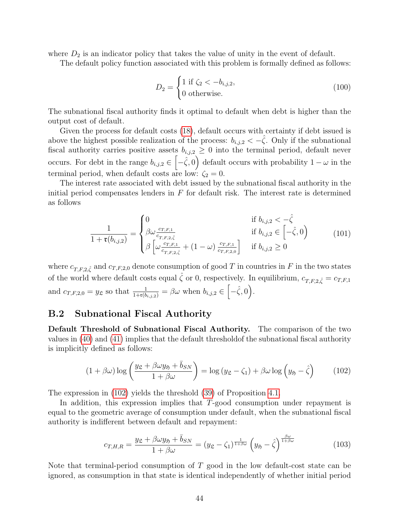where  $D_2$  is an indicator policy that takes the value of unity in the event of default.

The default policy function associated with this problem is formally defined as follows:

$$
D_2 = \begin{cases} 1 \text{ if } \zeta_2 < -b_{i,j,2}, \\ 0 \text{ otherwise.} \end{cases}
$$
 (100)

The subnational fiscal authority finds it optimal to default when debt is higher than the output cost of default.

Given the process for default costs [\(18\)](#page-10-3), default occurs with certainty if debt issued is above the highest possible realization of the process:  $b_{i,j,2} < -\hat{\zeta}$ . Only if the subnational fiscal authority carries positive assets  $b_{i,j,2} \geq 0$  into the terminal period, default never occurs. For debt in the range  $b_{i,j,2} \in \left[-\hat{\zeta},0\right)$  default occurs with probability  $1-\omega$  in the terminal period, when default costs are low:  $\zeta_2 = 0$ .

The interest rate associated with debt issued by the subnational fiscal authority in the initial period compensates lenders in  $F$  for default risk. The interest rate is determined as follows

$$
\frac{1}{1 + \mathfrak{r}(b_{i,j,2})} = \begin{cases} 0 & \text{if } b_{i,j,2} < -\hat{\zeta} \\ \beta \omega \frac{c_{T,F,1}}{c_{T,F,2,\hat{\zeta}}} & \text{if } b_{i,j,2} \in \left[ -\hat{\zeta}, 0 \right) \\ \beta \left[ \omega \frac{c_{T,F,1}}{c_{T,F,2,\hat{\zeta}}} + (1 - \omega) \frac{c_{T,F,1}}{c_{T,F,2,0}} \right] & \text{if } b_{i,j,2} \ge 0 \end{cases}
$$
(101)

where  $c_{T,F,2,\hat{\zeta}}$  and  $c_{T,F,2,0}$  denote consumption of good T in countries in F in the two states of the world where default costs equal  $\hat{\zeta}$  or 0, respectively. In equilibrium,  $c_{T,F,2,\hat{\zeta}} = c_{T,F,1}$ and  $c_{T,F,2,0} = y_{\mathfrak{L}}$  so that  $\frac{1}{1+\mathfrak{r}(b_{i,j,2})} = \beta\omega$  when  $b_{i,j,2} \in [-\hat{\zeta},0]$ .

### <span id="page-44-0"></span>B.2 Subnational Fiscal Authority

Default Threshold of Subnational Fiscal Authority. The comparison of the two values in [\(40\)](#page-18-2) and [\(41\)](#page-18-3) implies that the default thresholdof the subnational fiscal authority is implicitly defined as follows:

<span id="page-44-1"></span>
$$
(1 + \beta\omega)\log\left(\frac{y_{\mathfrak{L}} + \beta\omega y_{\mathfrak{H}} + \bar{b}_{SN}}{1 + \beta\omega}\right) = \log\left(y_{\mathfrak{L}} - \zeta_1\right) + \beta\omega\log\left(y_{\mathfrak{H}} - \hat{\zeta}\right) \tag{102}
$$

The expression in [\(102\)](#page-44-1) yields the threshold [\(39\)](#page-17-2) of Proposition [4.1.](#page-17-1)

In addition, this expression implies that T-good consumption under repayment is equal to the geometric average of consumption under default, when the subnational fiscal authority is indifferent between default and repayment:

$$
c_{T,H,R} = \frac{y_{\mathfrak{L}} + \beta \omega y_{\mathfrak{H}} + \bar{b}_{SN}}{1 + \beta \omega} = (y_{\mathfrak{L}} - \zeta_1)^{\frac{1}{1 + \beta \omega}} \left( y_{\mathfrak{H}} - \hat{\zeta} \right)^{\frac{\beta \omega}{1 + \beta \omega}}
$$
(103)

Note that terminal-period consumption of  $T$  good in the low default-cost state can be ignored, as consumption in that state is identical independently of whether initial period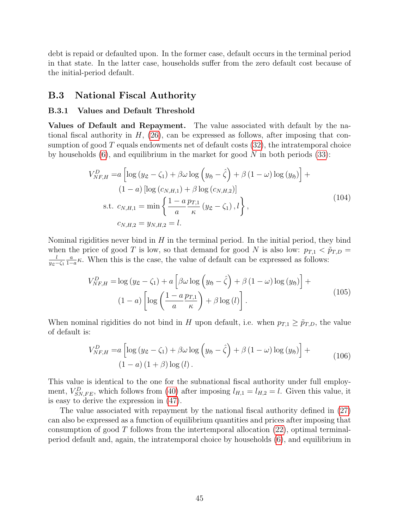debt is repaid or defaulted upon. In the former case, default occurs in the terminal period in that state. In the latter case, households suffer from the zero default cost because of the initial-period default.

#### B.3 National Fiscal Authority

#### <span id="page-45-0"></span>B.3.1 Values and Default Threshold

Values of Default and Repayment. The value associated with default by the national fiscal authority in  $H$ , [\(26\)](#page-13-3), can be expressed as follows, after imposing that consumption of good  $T$  equals endowments net of default costs  $(32)$ , the intratemporal choice by households  $(6)$ , and equilibrium in the market for good N in both periods  $(33)$ :

$$
V_{NF,H}^{D} = a \left[ \log (y_{\mathfrak{L}} - \zeta_1) + \beta \omega \log (y_{\mathfrak{H}} - \hat{\zeta}) + \beta (1 - \omega) \log (y_{\mathfrak{H}}) \right] +
$$
  
\n
$$
(1 - a) \left[ \log (c_{N,H,1}) + \beta \log (c_{N,H,2}) \right]
$$
  
\ns.t.  $c_{N,H,1} = \min \left\{ \frac{1 - a}{a} \frac{p_{T,1}}{\kappa} (y_{\mathfrak{L}} - \zeta_1), l \right\},$   
\n $c_{N,H,2} = y_{N,H,2} = l.$  (104)

Nominal rigidities never bind in  $H$  in the terminal period. In the initial period, they bind when the price of good T is low, so that demand for good N is also low:  $p_{T,1} < \tilde{p}_{T,D}$ l  $y_{\mathfrak{L}}-\zeta_1$ a  $\frac{a}{1-a}$ κ. When this is the case, the value of default can be expressed as follows:

$$
V_{NF,H}^{D} = \log (y_{\mathfrak{L}} - \zeta_1) + a \left[ \beta \omega \log (y_{\mathfrak{H}} - \hat{\zeta}) + \beta (1 - \omega) \log (y_{\mathfrak{H}}) \right] +
$$
  

$$
(1 - a) \left[ \log \left( \frac{1 - a}{a} \frac{p_{T,1}}{\kappa} \right) + \beta \log (l) \right].
$$
 (105)

When nominal rigidities do not bind in H upon default, i.e. when  $p_{T,1} \geq \tilde{p}_{T,D}$ , the value of default is:

$$
V_{NF,H}^{D} = a \left[ \log \left( y_{\mathfrak{L}} - \zeta_{1} \right) + \beta \omega \log \left( y_{\mathfrak{H}} - \hat{\zeta} \right) + \beta \left( 1 - \omega \right) \log \left( y_{\mathfrak{H}} \right) \right] + \tag{106}
$$
\n
$$
(1 - a) \left( 1 + \beta \right) \log \left( l \right).
$$

This value is identical to the one for the subnational fiscal authority under full employment,  $V_{SN,FE}^D$ , which follows from [\(40\)](#page-18-2) after imposing  $l_{H,1} = l_{H,2} = l$ . Given this value, it is easy to derive the expression in [\(47\)](#page-21-2).

The value associated with repayment by the national fiscal authority defined in [\(27\)](#page-13-4) can also be expressed as a function of equilibrium quantities and prices after imposing that consumption of good  $T$  follows from the intertemporal allocation  $(22)$ , optimal terminalperiod default and, again, the intratemporal choice by households [\(6\)](#page-7-3), and equilibrium in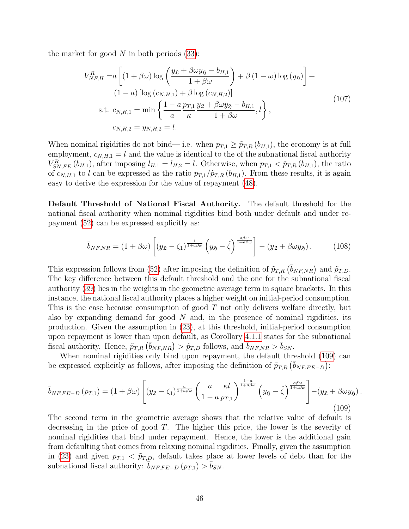the market for good  $N$  in both periods  $(33)$ :

$$
V_{NF,H}^{R} = a \left[ (1 + \beta \omega) \log \left( \frac{y_{\mathfrak{L}} + \beta \omega y_{\mathfrak{H}} - b_{H,1}}{1 + \beta \omega} \right) + \beta (1 - \omega) \log (y_{\mathfrak{H}}) \right] +
$$
  
\n
$$
(1 - a) \left[ \log (c_{N,H,1}) + \beta \log (c_{N,H,2}) \right]
$$
  
\ns.t.  $c_{N,H,1} = \min \left\{ \frac{1 - a}{a} \frac{p_{T,1}}{\kappa} \frac{y_{\mathfrak{L}} + \beta \omega y_{\mathfrak{H}} - b_{H,1}}{1 + \beta \omega}, l \right\},$   
\n $c_{N,H,2} = y_{N,H,2} = l.$  (107)

When nominal rigidities do not bind— i.e. when  $p_{T,1} \geq \tilde{p}_{T,R}(b_{H,1})$ , the economy is at full employment,  $c_{N,H,1} = l$  and the value is identical to the of the subnational fiscal authority  $V_{SN,FE}^R(b_{H,1})$ , after imposing  $l_{H,1} = l_{H,2} = l$ . Otherwise, when  $p_{T,1} < \tilde{p}_{T,R}(b_{H,1})$ , the ratio of  $c_{N,H,1}$  to l can be expressed as the ratio  $p_{T,1}/\tilde{p}_{T,R}$  ( $b_{H,1}$ ). From these results, it is again easy to derive the expression for the value of repayment [\(48\)](#page-22-1).

Default Threshold of National Fiscal Authority. The default threshold for the national fiscal authority when nominal rigidities bind both under default and under repayment [\(52\)](#page-23-0) can be expressed explicitly as:

<span id="page-46-1"></span>
$$
\bar{b}_{NF,NR} = (1 + \beta \omega) \left[ (y_{\mathfrak{L}} - \zeta_1)^{\frac{1}{1 + a\beta\omega}} \left( y_{\mathfrak{H}} - \hat{\zeta} \right)^{\frac{a\beta\omega}{1 + a\beta\omega}} \right] - (y_{\mathfrak{L}} + \beta \omega y_{\mathfrak{H}}). \tag{108}
$$

This expression follows from [\(52\)](#page-23-0) after imposing the definition of  $\tilde{p}_{T,R}$  ( $\bar{b}_{NF,NR}$ ) and  $\tilde{p}_{T,D}$ . The key difference between this default threshold and the one for the subnational fiscal authority [\(39\)](#page-17-2) lies in the weights in the geometric average term in square brackets. In this instance, the national fiscal authority places a higher weight on initial-period consumption. This is the case because consumption of good  $T$  not only delivers welfare directly, but also by expanding demand for good  $N$  and, in the presence of nominal rigidities, its production. Given the assumption in [\(23\)](#page-12-2), at this threshold, initial-period consumption upon repayment is lower than upon default, as Corollary [4.1.1](#page-18-1) states for the subnational fiscal authority. Hence,  $\tilde{p}_{T,R}(\bar{b}_{NF,NR}) > \tilde{p}_{T,D}$  follows, and  $\bar{b}_{NF,NR} > \bar{b}_{SN}$ .

When nominal rigidities only bind upon repayment, the default threshold [\(109\)](#page-46-0) can be expressed explicitly as follows, after imposing the definition of  $\tilde{p}_{T,R}(\bar{b}_{NF,FE-D})$ :

<span id="page-46-0"></span>
$$
\bar{b}_{NF,FE-D}(p_{T,1}) = (1+\beta\omega) \left[ (y_{\mathfrak{L}} - \zeta_1)^{\frac{a}{1+a\beta\omega}} \left( \frac{a}{1-a} \frac{\kappa l}{p_{T,1}} \right)^{\frac{1-a}{1+a\beta\omega}} \left( y_{\mathfrak{H}} - \hat{\zeta} \right)^{\frac{a\beta\omega}{1+a\beta\omega}} \right] - (y_{\mathfrak{L}} + \beta\omega y_{\mathfrak{H}}).
$$
\n(109)

The second term in the geometric average shows that the relative value of default is decreasing in the price of good T. The higher this price, the lower is the severity of nominal rigidities that bind under repayment. Hence, the lower is the additional gain from defaulting that comes from relaxing nominal rigidities. Finally, given the assumption in [\(23\)](#page-12-2) and given  $p_{T,1} < \tilde{p}_{T,D}$ , default takes place at lower levels of debt than for the subnational fiscal authority:  $\bar{b}_{NF, FE-D} (p_{T,1}) > \bar{b}_{SN}$ .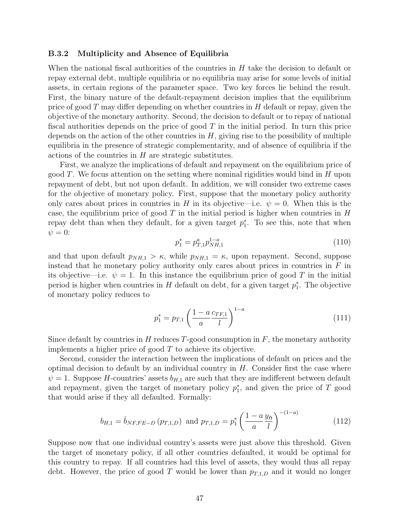#### <span id="page-47-0"></span>B.3.2 Multiplicity and Absence of Equilibria

When the national fiscal authorities of the countries in  $H$  take the decision to default or repay external debt, multiple equilibria or no equilibria may arise for some levels of initial assets, in certain regions of the parameter space. Two key forces lie behind the result. First, the binary nature of the default-repayment decision implies that the equilibrium price of good  $T$  may differ depending on whether countries in  $H$  default or repay, given the objective of the monetary authority. Second, the decision to default or to repay of national fiscal authorities depends on the price of good  $T$  in the initial period. In turn this price depends on the action of the other countries in  $H$ , giving rise to the possibility of multiple equilibria in the presence of strategic complementarity, and of absence of equilibria if the actions of the countries in H are strategic substitutes.

First, we analyze the implications of default and repayment on the equilibrium price of good T. We focus attention on the setting where nominal rigidities would bind in  $H$  upon repayment of debt, but not upon default. In addition, we will consider two extreme cases for the objective of monetary policy. First, suppose that the monetary policy authority only cares about prices in countries in H in its objective—i.e.  $\psi = 0$ . When this is the case, the equilibrium price of good T in the initial period is higher when countries in  $H$ repay debt than when they default, for a given target  $p_1^*$ . To see this, note that when  $\psi = 0$ :

$$
p_1^* = p_{T,1}^a p_{NH,1}^{1-a} \tag{110}
$$

and that upon default  $p_{NH,1} > \kappa$ , while  $p_{NH,1} = \kappa$ , upon repayment. Second, suppose instead that he monetary policy authority only cares about prices in countries in  $F$  in its objective—i.e.  $\psi = 1$ . In this instance the equilibrium price of good T in the initial period is higher when countries in  $H$  default on debt, for a given target  $p_1^*$ . The objective of monetary policy reduces to

$$
p_1^* = p_{T,1} \left(\frac{1 - a c_{TF,1}}{a} \right)^{1 - a} \tag{111}
$$

Since default by countries in H reduces T-good consumption in  $F$ , the monetary authority implements a higher price of good  $T$  to achieve its objective.

Second, consider the interaction between the implications of default on prices and the optimal decision to default by an individual country in  $H$ . Consider first the case where  $\psi = 1$ . Suppose H-countries' assets  $b_{H,1}$  are such that they are indifferent between default and repayment, given the target of monetary policy  $p_1^*$ , and given the price of T good that would arise if they all defaulted. Formally:

$$
b_{H,1} = \bar{b}_{NF,FE-D} (p_{T,1,D}) \text{ and } p_{T,1,D} = p_1^* \left(\frac{1-a}{a} \frac{y_5}{l}\right)^{-(1-a)} \tag{112}
$$

Suppose now that one individual country's assets were just above this threshold. Given the target of monetary policy, if all other countries defaulted, it would be optimal for this country to repay. If all countries had this level of assets, they would thus all repay debt. However, the price of good T would be lower than  $p_{T,1,D}$  and it would no longer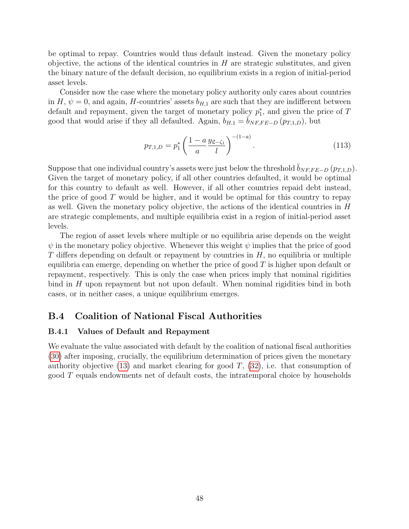be optimal to repay. Countries would thus default instead. Given the monetary policy objective, the actions of the identical countries in  $H$  are strategic substitutes, and given the binary nature of the default decision, no equilibrium exists in a region of initial-period asset levels.

Consider now the case where the monetary policy authority only cares about countries in H,  $\psi = 0$ , and again, H-countries' assets  $b_{H,1}$  are such that they are indifferent between default and repayment, given the target of monetary policy  $p_1^*$ , and given the price of T good that would arise if they all defaulted. Again,  $b_{H,1} = \bar{b}_{NF, FE-D} (p_{T,1,D})$ , but

$$
p_{T,1,D} = p_1^* \left( \frac{1 - a}{a} \frac{y_{\mathfrak{L} - \zeta_1}}{l} \right)^{-(1 - a)}.
$$
 (113)

Suppose that one individual country's assets were just below the threshold  $\overline{b}_{NF, FE-D}$  ( $p_{T,1,D}$ ). Given the target of monetary policy, if all other countries defaulted, it would be optimal for this country to default as well. However, if all other countries repaid debt instead, the price of good  $T$  would be higher, and it would be optimal for this country to repay as well. Given the monetary policy objective, the actions of the identical countries in H are strategic complements, and multiple equilibria exist in a region of initial-period asset levels.

The region of asset levels where multiple or no equilibria arise depends on the weight  $\psi$  in the monetary policy objective. Whenever this weight  $\psi$  implies that the price of good  $T$  differs depending on default or repayment by countries in  $H$ , no equilibria or multiple equilibria can emerge, depending on whether the price of good  $T$  is higher upon default or repayment, respectively. This is only the case when prices imply that nominal rigidities bind in H upon repayment but not upon default. When nominal rigidities bind in both cases, or in neither cases, a unique equilibrium emerges.

### <span id="page-48-0"></span>B.4 Coalition of National Fiscal Authorities

#### B.4.1 Values of Default and Repayment

We evaluate the value associated with default by the coalition of national fiscal authorities [\(30\)](#page-14-2) after imposing, crucially, the equilibrium determination of prices given the monetary authority objective  $(13)$  and market clearing for good T,  $(32)$ , i.e. that consumption of good T equals endowments net of default costs, the intratemporal choice by households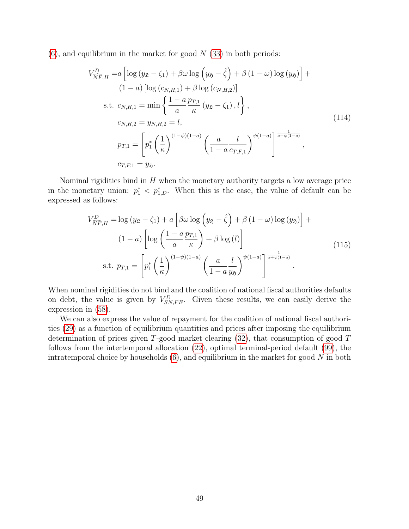$(6)$ , and equilibrium in the market for good N  $(33)$  in both periods:

$$
V_{\widehat{NF},H}^{D} = a \left[ \log (y_{\mathfrak{L}} - \zeta_{1}) + \beta \omega \log (y_{\mathfrak{H}} - \hat{\zeta}) + \beta (1 - \omega) \log (y_{\mathfrak{H}}) \right] + (1 - a) \left[ \log (c_{N,H,1}) + \beta \log (c_{N,H,2}) \right]
$$
  
s.t.  $c_{N,H,1} = \min \left\{ \frac{1 - a}{a} \frac{p_{T,1}}{\kappa} (y_{\mathfrak{L}} - \zeta_{1}), l \right\},$   

$$
c_{N,H,2} = y_{N,H,2} = l,
$$
  

$$
p_{T,1} = \left[ p_{1}^{*} \left( \frac{1}{\kappa} \right)^{(1 - \psi)(1 - a)} \left( \frac{a}{1 - a} \frac{l}{c_{T,F,1}} \right)^{\psi(1 - a)} \right]^{\frac{1}{a + \psi(1 - a)}},
$$
  

$$
c_{T,F,1} = y_{\mathfrak{H}}.
$$
 (114)

Nominal rigidities bind in  $H$  when the monetary authority targets a low average price in the monetary union:  $p_1^* < p_{1,D}^*$ . When this is the case, the value of default can be expressed as follows:

$$
V_{\widehat{N}F,H}^{D} = \log (y_{\mathfrak{L}} - \zeta_{1}) + a \left[ \beta \omega \log \left( y_{\mathfrak{H}} - \hat{\zeta} \right) + \beta \left( 1 - \omega \right) \log \left( y_{\mathfrak{H}} \right) \right] +
$$
  
\n
$$
(1 - a) \left[ \log \left( \frac{1 - a}{a} \frac{p_{T,1}}{\kappa} \right) + \beta \log \left( l \right) \right]
$$
  
\ns.t.  $p_{T,1} = \left[ p_{1}^{*} \left( \frac{1}{\kappa} \right)^{(1 - \psi)(1 - a)} \left( \frac{a}{1 - a} \frac{l}{y_{\mathfrak{H}}} \right)^{\psi(1 - a)} \right]^{\frac{1}{a + \psi(1 - a)}}$ . (115)

When nominal rigidities do not bind and the coalition of national fiscal authorities defaults on debt, the value is given by  $V_{SN,FE}^D$ . Given these results, we can easily derive the expression in [\(58\)](#page-27-2).

We can also express the value of repayment for the coalition of national fiscal authorities [\(29\)](#page-14-3) as a function of equilibrium quantities and prices after imposing the equilibrium determination of prices given T-good market clearing [\(32\)](#page-15-4), that consumption of good T follows from the intertemporal allocation [\(22\)](#page-11-5), optimal terminal-period default [\(99\)](#page-43-1), the intratemporal choice by households  $(6)$ , and equilibrium in the market for good N in both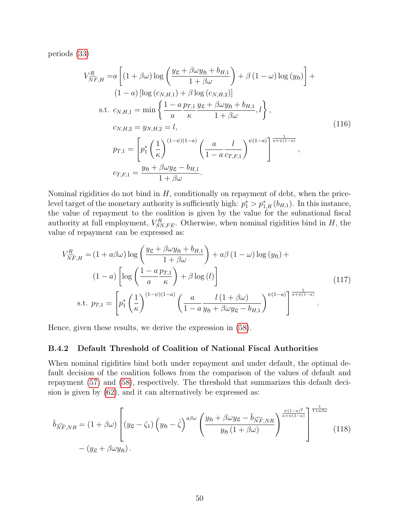periods [\(33\)](#page-15-3)

$$
V_{\widehat{NF},H}^{R} = a \left[ (1 + \beta \omega) \log \left( \frac{y_{\mathfrak{L}} + \beta \omega y_{\mathfrak{H}} + b_{H,1}}{1 + \beta \omega} \right) + \beta (1 - \omega) \log (y_{\mathfrak{H}}) \right] +
$$
  
\n
$$
(1 - a) \left[ \log (c_{N,H,1}) + \beta \log (c_{N,H,2}) \right]
$$
  
\ns.t.  $c_{N,H,1} = \min \left\{ \frac{1 - a}{a} \frac{p_{T,1}}{\kappa} \frac{y_{\mathfrak{L}} + \beta \omega y_{\mathfrak{H}} + b_{H,1}}{1 + \beta \omega}, l \right\},$   
\n $c_{N,H,2} = y_{N,H,2} = l,$   
\n
$$
p_{T,1} = \left[ p_1^* \left( \frac{1}{\kappa} \right)^{(1 - \psi)(1 - a)} \left( \frac{a}{1 - a} \frac{l}{c_{T,F,1}} \right)^{\psi(1 - a)} \right]^{\frac{1}{a + \psi(1 - a)}},
$$
  
\n $c_{T,F,1} = \frac{y_{\mathfrak{H}} + \beta \omega y_{\mathfrak{L}} - b_{H,1}}{1 + \beta \omega}.$   
\n(116)

Nominal rigidities do not bind in  $H$ , conditionally on repayment of debt, when the pricelevel target of the monetary authority is sufficiently high:  $p_1^* > p_{1,R}^*(b_{H,1})$ . In this instance, the value of repayment to the coalition is given by the value for the subnational fiscal authority at full employment,  $V_{SN,FE}^{R}$ . Otherwise, when nominal rigidities bind in H, the value of repayment can be expressed as:

$$
V_{\widehat{NF},H}^{R} = (1 + a\beta\omega) \log \left(\frac{y_{\mathfrak{L}} + \beta\omega y_{\mathfrak{H}} + b_{H,1}}{1 + \beta\omega}\right) + a\beta (1 - \omega) \log (y_{\mathfrak{H}}) +
$$
  
\n
$$
(1 - a) \left[ \log \left(\frac{1 - a p_{T,1}}{a \kappa}\right) + \beta \log (l) \right]
$$
  
\ns.t.  $p_{T,1} = \left[ p_1^* \left(\frac{1}{\kappa}\right)^{(1 - \psi)(1 - a)} \left(\frac{a}{1 - a y_{\mathfrak{H}} + \beta\omega y_{\mathfrak{L}} - b_{H,1}} \right)^{\psi(1 - a)} \right]^{\frac{1}{a + \psi(1 - a)}}$  (117)

Hence, given these results, we derive the expression in [\(58\)](#page-27-2).

#### B.4.2 Default Threshold of Coalition of National Fiscal Authorities

When nominal rigidities bind both under repayment and under default, the optimal default decision of the coalition follows from the comparison of the values of default and repayment [\(57\)](#page-27-1) and [\(58\)](#page-27-2), respectively. The threshold that summarizes this default decision is given by [\(62\)](#page-28-3), and it can alternatively be expressed as:

<span id="page-50-0"></span>
$$
\overline{b}_{\widehat{N}\widehat{F},NR} = (1 + \beta\omega) \left[ (y_{\mathfrak{L}} - \zeta_1) \left( y_{\mathfrak{H}} - \hat{\zeta} \right)^{a\beta\omega} \left( \frac{y_{\mathfrak{H}} + \beta\omega y_{\mathfrak{L}} - \overline{b}_{\widehat{N}\widehat{F},NR}}{y_{\mathfrak{H}} \left( 1 + \beta\omega \right)} \right)^{\frac{\psi(1-a)^2}{a+\psi(1-a)}} \right]^{\frac{1}{1+a\beta\omega}}
$$
\n
$$
- (y_{\mathfrak{L}} + \beta\omega y_{\mathfrak{H}}).
$$
\n(118)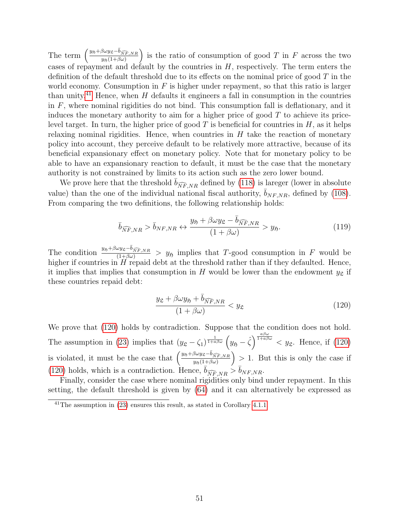The term  $\left(\frac{y_{5j} + \beta \omega y_{\mathfrak{L}} - \bar{b}_{\widehat{N}\widehat{F},NR}}{y_{5j}(1+\beta \omega)}\right)$ is the ratio of consumption of good T in F across the two cases of repayment and default by the countries in  $H$ , respectively. The term enters the definition of the default threshold due to its effects on the nominal price of good  $T$  in the world economy. Consumption in  $F$  is higher under repayment, so that this ratio is larger than unity.<sup>[41](#page-51-0)</sup> Hence, when H defaults it engineers a fall in consumption in the countries in  $F$ , where nominal rigidities do not bind. This consumption fall is deflationary, and it induces the monetary authority to aim for a higher price of good  $T$  to achieve its pricelevel target. In turn, the higher price of good  $T$  is beneficial for countries in  $H$ , as it helps relaxing nominal rigidities. Hence, when countries in  $H$  take the reaction of monetary policy into account, they perceive default to be relatively more attractive, because of its beneficial expansionary effect on monetary policy. Note that for monetary policy to be able to have an expansionary reaction to default, it must be the case that the monetary authority is not constrained by limits to its action such as the zero lower bound.

We prove here that the threshold  $b_{\widehat{N}F,NR}$  defined by [\(118\)](#page-50-0) is lareger (lower in absolute value) than the one of the individual national fiscal authority,  $\bar{b}_{NF,NR}$ , defined by [\(108\)](#page-46-1). From comparing the two definitions, the following relationship holds:

$$
\bar{b}_{\widehat{NF}, NR} > \bar{b}_{NF, NR} \leftrightarrow \frac{y_{\mathfrak{H}} + \beta \omega y_{\mathfrak{L}} - \bar{b}_{\widehat{NF}, NR}}{(1 + \beta \omega)} > y_{\mathfrak{H}}.
$$
\n(119)

The condition  $\frac{y_{\mathfrak{H}}+\beta\omega y_{\mathfrak{L}}-\bar{b}_{\widehat{N}F,NR}}{(1+\beta\omega)} > y_{\mathfrak{H}}$  implies that T-good consumption in F would be higher if countries in  $H$  repaid debt at the threshold rather than if they defaulted. Hence, it implies that implies that consumption in H would be lower than the endowment  $y<sub>\mathcal{L}</sub>$  if these countries repaid debt:

<span id="page-51-1"></span>
$$
\frac{y_{\mathfrak{L}} + \beta \omega y_{\mathfrak{H}} + \bar{b}_{\widehat{N}\widehat{F}, NR}}{(1 + \beta \omega)} < y_{\mathfrak{L}} \tag{120}
$$

We prove that [\(120\)](#page-51-1) holds by contradiction. Suppose that the condition does not hold. The assumption in [\(23\)](#page-12-2) implies that  $(y_{\mathfrak{L}} - \zeta_1)^{\frac{1}{1 + a\beta\omega}} \left( y_{\mathfrak{H}} - \hat{\zeta} \right)^{\frac{a\beta\omega}{1 + a\beta\omega}} < y_{\mathfrak{L}}$ . Hence, if [\(120\)](#page-51-1) is violated, it must be the case that  $\left(\frac{y_{5}+\beta\omega y_{\mathcal{L}}-\bar{b}_{\widehat{NF},NR}}{y_{5}(1+\beta\omega)}\right)$  $> 1$ . But this is only the case if [\(120\)](#page-51-1) holds, which is a contradiction. Hence,  $\overline{b}_{\widehat{N}F,NR} > b_{NF,NR}$ .

Finally, consider the case where nominal rigidities only bind under repayment. In this setting, the default threshold is given by [\(64\)](#page-29-2) and it can alternatively be expressed as

<span id="page-51-0"></span> $41$ <sup>41</sup>The assumption in [\(23\)](#page-12-2) ensures this result, as stated in Corollary [4.1.1.](#page-18-1)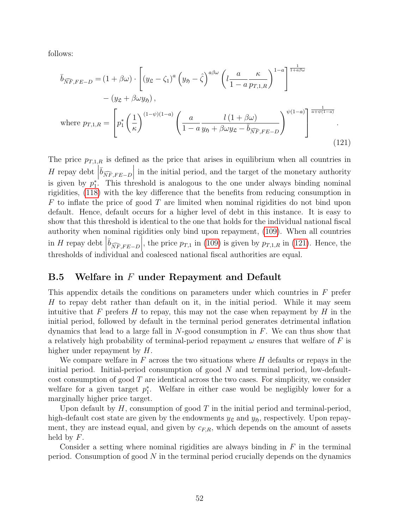follows:

<span id="page-52-1"></span>
$$
\overline{b}_{\widehat{N}\widehat{F},FE-D} = (1+\beta\omega) \cdot \left[ (y_{\mathfrak{L}} - \zeta_1)^a \left( y_{\mathfrak{H}} - \hat{\zeta} \right)^{a\beta\omega} \left( l \frac{a}{1-a} \frac{\kappa}{p_{T,1,R}} \right)^{1-a} \right]^{\frac{1}{1+a\beta\omega}}
$$

$$
- (y_{\mathfrak{L}} + \beta\omega y_{\mathfrak{H}}),
$$
  
where  $p_{T,1,R} = \left[ p_1^* \left( \frac{1}{\kappa} \right)^{(1-\psi)(1-a)} \left( \frac{a}{1-a} \frac{l(1+\beta\omega)}{y_{\mathfrak{H}} + \beta\omega y_{\mathfrak{L}} - \bar{b}_{\widehat{N}\widehat{F},FE-D}} \right)^{\psi(1-a)} \right]^{\frac{1}{a+\psi(1-a)}}$ . (121)

The price  $p_{T,1,R}$  is defined as the price that arises in equilibrium when all countries in H repay debt  $\left|\overline{b}_{\widehat{N}\widehat{F},FE-D}\right|$  in the initial period, and the target of the monetary authority is given by  $p_1^*$ . This threshold is analogous to the one under always binding nominal rigidities, [\(118\)](#page-50-0) with the key difference that the benefits from reducing consumption in  $F$  to inflate the price of good  $T$  are limited when nominal rigidities do not bind upon default. Hence, default occurs for a higher level of debt in this instance. It is easy to show that this threshold is identical to the one that holds for the individual national fiscal authority when nominal rigidities only bind upon repayment, [\(109\)](#page-46-0). When all countries in H repay debt  $\left|\overline{b}_{\widehat{N}F,FE-D}\right|$ , the price  $p_{T,1}$  in [\(109\)](#page-46-0) is given by  $p_{T,1,R}$  in [\(121\)](#page-52-1). Hence, the thresholds of individual and coalesced national fiscal authorities are equal.

### <span id="page-52-0"></span>B.5 Welfare in  $F$  under Repayment and Default

This appendix details the conditions on parameters under which countries in F prefer H to repay debt rather than default on it, in the initial period. While it may seem intuitive that F prefers H to repay, this may not the case when repayment by H in the initial period, followed by default in the terminal period generates detrimental inflation dynamics that lead to a large fall in  $N$ -good consumption in  $F$ . We can thus show that a relatively high probability of terminal-period repayment  $\omega$  ensures that welfare of F is higher under repayment by H.

We compare welfare in  $F$  across the two situations where  $H$  defaults or repays in the initial period. Initial-period consumption of good  $N$  and terminal period, low-defaultcost consumption of good  $T$  are identical across the two cases. For simplicity, we consider welfare for a given target  $p_1^*$ . Welfare in either case would be negligibly lower for a marginally higher price target.

Upon default by  $H$ , consumption of good  $T$  in the initial period and terminal-period, high-default cost state are given by the endowments  $y_{\mathfrak{L}}$  and  $y_{\mathfrak{H}}$ , respectively. Upon repayment, they are instead equal, and given by  $c_{F,R}$ , which depends on the amount of assets held by  $F$ .

Consider a setting where nominal rigidities are always binding in  $F$  in the terminal period. Consumption of good  $N$  in the terminal period crucially depends on the dynamics